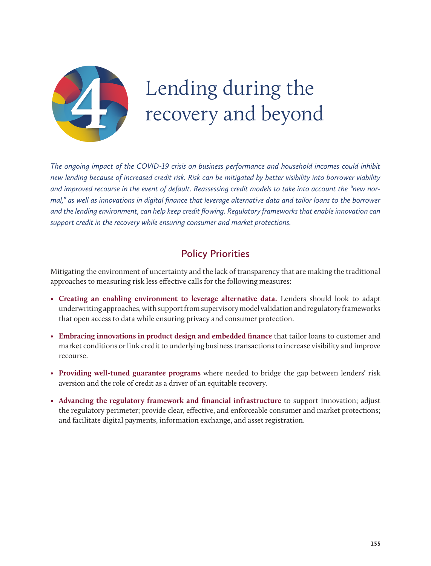

# Lending during the recovery and beyond

*The ongoing impact of the COVID-19 crisis on business performance and household incomes could inhibit new lending because of increased credit risk. Risk can be mitigated by better visibility into borrower viability and improved recourse in the event of default. Reassessing credit models to take into account the "new normal," as well as innovations in digital finance that leverage alternative data and tailor loans to the borrower and the lending environment, can help keep credit flowing. Regulatory frameworks that enable innovation can support credit in the recovery while ensuring consumer and market protections.*

# **Policy Priorities**

Mitigating the environment of uncertainty and the lack of transparency that are making the traditional approaches to measuring risk less effective calls for the following measures:

- • **Creating an enabling environment to leverage alternative data.** Lenders should look to adapt underwriting approaches, with support from supervisory model validation and regulatory frameworks that open access to data while ensuring privacy and consumer protection.
- **Embracing innovations in product design and embedded finance** that tailor loans to customer and market conditions or link credit to underlying business transactions to increase visibility and improve recourse.
- • **Providing well-tuned guarantee programs** where needed to bridge the gap between lenders' risk aversion and the role of credit as a driver of an equitable recovery.
- • **Advancing the regulatory framework and financial infrastructure** to support innovation; adjust the regulatory perimeter; provide clear, effective, and enforceable consumer and market protections; and facilitate digital payments, information exchange, and asset registration.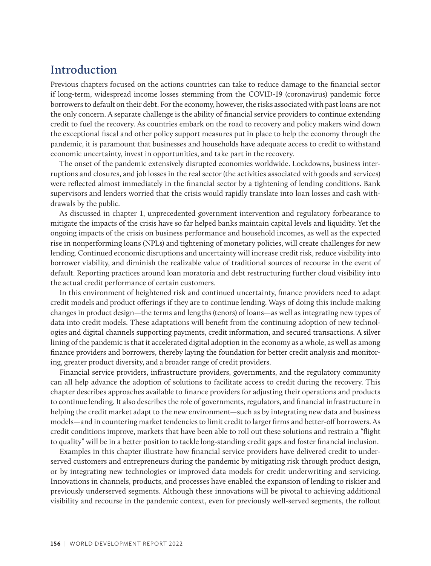# **Introduction**

Previous chapters focused on the actions countries can take to reduce damage to the financial sector if long-term, widespread income losses stemming from the COVID-19 (coronavirus) pandemic force borrowers to default on their debt. For the economy, however, the risks associated with past loans are not the only concern. A separate challenge is the ability of financial service providers to continue extending credit to fuel the recovery. As countries embark on the road to recovery and policy makers wind down the exceptional fiscal and other policy support measures put in place to help the economy through the pandemic, it is paramount that businesses and households have adequate access to credit to withstand economic uncertainty, invest in opportunities, and take part in the recovery.

The onset of the pandemic extensively disrupted economies worldwide. Lockdowns, business interruptions and closures, and job losses in the real sector (the activities associated with goods and services) were reflected almost immediately in the financial sector by a tightening of lending conditions. Bank supervisors and lenders worried that the crisis would rapidly translate into loan losses and cash withdrawals by the public.

As discussed in chapter 1, unprecedented government intervention and regulatory forbearance to mitigate the impacts of the crisis have so far helped banks maintain capital levels and liquidity. Yet the ongoing impacts of the crisis on business performance and household incomes, as well as the expected rise in nonperforming loans (NPLs) and tightening of monetary policies, will create challenges for new lending. Continued economic disruptions and uncertainty will increase credit risk, reduce visibility into borrower viability, and diminish the realizable value of traditional sources of recourse in the event of default. Reporting practices around loan moratoria and debt restructuring further cloud visibility into the actual credit performance of certain customers.

In this environment of heightened risk and continued uncertainty, finance providers need to adapt credit models and product offerings if they are to continue lending. Ways of doing this include making changes in product design—the terms and lengths (tenors) of loans—as well as integrating new types of data into credit models. These adaptations will benefit from the continuing adoption of new technologies and digital channels supporting payments, credit information, and secured transactions. A silver lining of the pandemic is that it accelerated digital adoption in the economy as a whole, as well as among finance providers and borrowers, thereby laying the foundation for better credit analysis and monitoring, greater product diversity, and a broader range of credit providers.

Financial service providers, infrastructure providers, governments, and the regulatory community can all help advance the adoption of solutions to facilitate access to credit during the recovery. This chapter describes approaches available to finance providers for adjusting their operations and products to continue lending. It also describes the role of governments, regulators, and financial infrastructure in helping the credit market adapt to the new environment—such as by integrating new data and business models—and in countering market tendencies to limit credit to larger firms and better-off borrowers. As credit conditions improve, markets that have been able to roll out these solutions and restrain a "flight to quality" will be in a better position to tackle long-standing credit gaps and foster financial inclusion.

Examples in this chapter illustrate how financial service providers have delivered credit to underserved customers and entrepreneurs during the pandemic by mitigating risk through product design, or by integrating new technologies or improved data models for credit underwriting and servicing. Innovations in channels, products, and processes have enabled the expansion of lending to riskier and previously underserved segments. Although these innovations will be pivotal to achieving additional visibility and recourse in the pandemic context, even for previously well-served segments, the rollout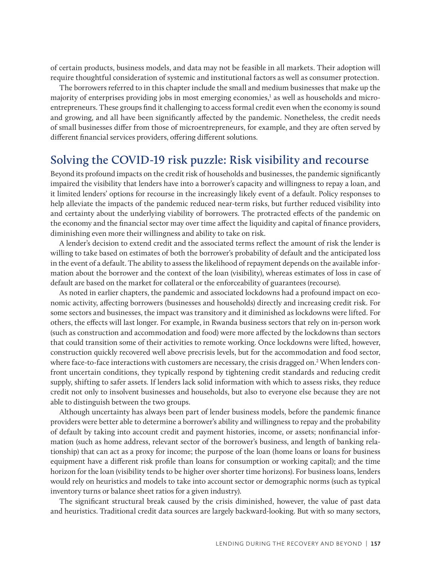of certain products, business models, and data may not be feasible in all markets. Their adoption will require thoughtful consideration of systemic and institutional factors as well as consumer protection.

The borrowers referred to in this chapter include the small and medium businesses that make up the majority of enterprises providing jobs in most emerging economies,<sup>1</sup> as well as households and microentrepreneurs. These groups find it challenging to access formal credit even when the economy is sound and growing, and all have been significantly affected by the pandemic. Nonetheless, the credit needs of small businesses differ from those of microentrepreneurs, for example, and they are often served by different financial services providers, offering different solutions.

# **Solving the COVID-19 risk puzzle: Risk visibility and recourse**

Beyond its profound impacts on the credit risk of households and businesses, the pandemic significantly impaired the visibility that lenders have into a borrower's capacity and willingness to repay a loan, and it limited lenders' options for recourse in the increasingly likely event of a default. Policy responses to help alleviate the impacts of the pandemic reduced near-term risks, but further reduced visibility into and certainty about the underlying viability of borrowers. The protracted effects of the pandemic on the economy and the financial sector may over time affect the liquidity and capital of finance providers, diminishing even more their willingness and ability to take on risk.

A lender's decision to extend credit and the associated terms reflect the amount of risk the lender is willing to take based on estimates of both the borrower's probability of default and the anticipated loss in the event of a default. The ability to assess the likelihood of repayment depends on the available information about the borrower and the context of the loan (visibility), whereas estimates of loss in case of default are based on the market for collateral or the enforceability of guarantees (recourse).

As noted in earlier chapters, the pandemic and associated lockdowns had a profound impact on economic activity, affecting borrowers (businesses and households) directly and increasing credit risk. For some sectors and businesses, the impact was transitory and it diminished as lockdowns were lifted. For others, the effects will last longer. For example, in Rwanda business sectors that rely on in-person work (such as construction and accommodation and food) were more affected by the lockdowns than sectors that could transition some of their activities to remote working. Once lockdowns were lifted, however, construction quickly recovered well above precrisis levels, but for the accommodation and food sector, where face-to-face interactions with customers are necessary, the crisis dragged on.<sup>2</sup> When lenders confront uncertain conditions, they typically respond by tightening credit standards and reducing credit supply, shifting to safer assets. If lenders lack solid information with which to assess risks, they reduce credit not only to insolvent businesses and households, but also to everyone else because they are not able to distinguish between the two groups.

Although uncertainty has always been part of lender business models, before the pandemic finance providers were better able to determine a borrower's ability and willingness to repay and the probability of default by taking into account credit and payment histories, income, or assets; nonfinancial information (such as home address, relevant sector of the borrower's business, and length of banking relationship) that can act as a proxy for income; the purpose of the loan (home loans or loans for business equipment have a different risk profile than loans for consumption or working capital); and the time horizon for the loan (visibility tends to be higher over shorter time horizons). For business loans, lenders would rely on heuristics and models to take into account sector or demographic norms (such as typical inventory turns or balance sheet ratios for a given industry).

The significant structural break caused by the crisis diminished, however, the value of past data and heuristics. Traditional credit data sources are largely backward-looking. But with so many sectors,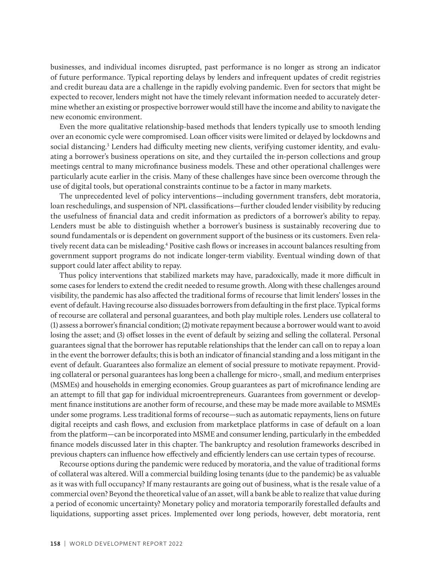businesses, and individual incomes disrupted, past performance is no longer as strong an indicator of future performance. Typical reporting delays by lenders and infrequent updates of credit registries and credit bureau data are a challenge in the rapidly evolving pandemic. Even for sectors that might be expected to recover, lenders might not have the timely relevant information needed to accurately determine whether an existing or prospective borrower would still have the income and ability to navigate the new economic environment.

Even the more qualitative relationship-based methods that lenders typically use to smooth lending over an economic cycle were compromised. Loan officer visits were limited or delayed by lockdowns and social distancing.<sup>3</sup> Lenders had difficulty meeting new clients, verifying customer identity, and evaluating a borrower's business operations on site, and they curtailed the in-person collections and group meetings central to many microfinance business models. These and other operational challenges were particularly acute earlier in the crisis. Many of these challenges have since been overcome through the use of digital tools, but operational constraints continue to be a factor in many markets.

The unprecedented level of policy interventions—including government transfers, debt moratoria, loan reschedulings, and suspension of NPL classifications—further clouded lender visibility by reducing the usefulness of financial data and credit information as predictors of a borrower's ability to repay. Lenders must be able to distinguish whether a borrower's business is sustainably recovering due to sound fundamentals or is dependent on government support of the business or its customers. Even relatively recent data can be misleading.<sup>4</sup> Positive cash flows or increases in account balances resulting from government support programs do not indicate longer-term viability. Eventual winding down of that support could later affect ability to repay.

Thus policy interventions that stabilized markets may have, paradoxically, made it more difficult in some cases for lenders to extend the credit needed to resume growth. Along with these challenges around visibility, the pandemic has also affected the traditional forms of recourse that limit lenders' losses in the event of default. Having recourse also dissuades borrowers from defaulting in the first place. Typical forms of recourse are collateral and personal guarantees, and both play multiple roles. Lenders use collateral to (1) assess a borrower's financial condition; (2) motivate repayment because a borrower would want to avoid losing the asset; and (3) offset losses in the event of default by seizing and selling the collateral. Personal guarantees signal that the borrower has reputable relationships that the lender can call on to repay a loan in the event the borrower defaults; this is both an indicator of financial standing and a loss mitigant in the event of default. Guarantees also formalize an element of social pressure to motivate repayment. Providing collateral or personal guarantees has long been a challenge for micro-, small, and medium enterprises (MSMEs) and households in emerging economies. Group guarantees as part of microfinance lending are an attempt to fill that gap for individual microentrepreneurs. Guarantees from government or development finance institutions are another form of recourse, and these may be made more available to MSMEs under some programs. Less traditional forms of recourse—such as automatic repayments, liens on future digital receipts and cash flows, and exclusion from marketplace platforms in case of default on a loan from the platform—can be incorporated into MSME and consumer lending, particularly in the embedded finance models discussed later in this chapter. The bankruptcy and resolution frameworks described in previous chapters can influence how effectively and efficiently lenders can use certain types of recourse.

Recourse options during the pandemic were reduced by moratoria, and the value of traditional forms of collateral was altered. Will a commercial building losing tenants (due to the pandemic) be as valuable as it was with full occupancy? If many restaurants are going out of business, what is the resale value of a commercial oven? Beyond the theoretical value of an asset, will a bank be able to realize that value during a period of economic uncertainty? Monetary policy and moratoria temporarily forestalled defaults and liquidations, supporting asset prices. Implemented over long periods, however, debt moratoria, rent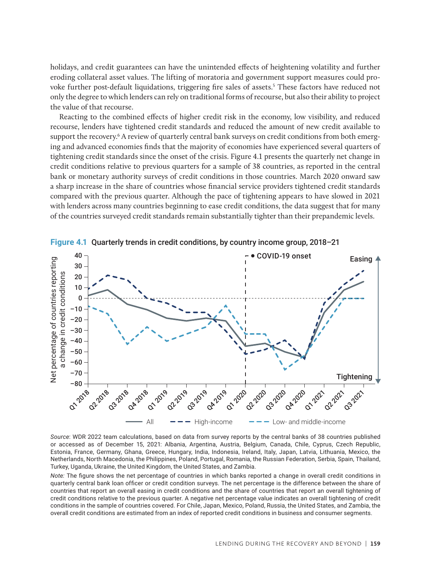holidays, and credit guarantees can have the unintended effects of heightening volatility and further eroding collateral asset values. The lifting of moratoria and government support measures could provoke further post-default liquidations, triggering fire sales of assets.<sup>5</sup> These factors have reduced not only the degree to which lenders can rely on traditional forms of recourse, but also their ability to project the value of that recourse.

Reacting to the combined effects of higher credit risk in the economy, low visibility, and reduced recourse, lenders have tightened credit standards and reduced the amount of new credit available to support the recovery.<sup>6</sup> A review of quarterly central bank surveys on credit conditions from both emerging and advanced economies finds that the majority of economies have experienced several quarters of tightening credit standards since the onset of the crisis. Figure 4.1 presents the quarterly net change in credit conditions relative to previous quarters for a sample of 38 countries, as reported in the central bank or monetary authority surveys of credit conditions in those countries. March 2020 onward saw a sharp increase in the share of countries whose financial service providers tightened credit standards compared with the previous quarter. Although the pace of tightening appears to have slowed in 2021 with lenders across many countries beginning to ease credit conditions, the data suggest that for many of the countries surveyed credit standards remain substantially tighter than their prepandemic levels.



**Figure 4.1** Quarterly trends in credit conditions, by country income group, 2018–21

*Source*: WDR 2022 team calculations, based on data from survey reports by the central banks of 38 countries published or accessed as of December 15, 2021: Albania, Argentina, Austria, Belgium, Canada, Chile, Cyprus, Czech Republic, Estonia, France, Germany, Ghana, Greece, Hungary, India, Indonesia, Ireland, Italy, Japan, Latvia, Lithuania, Mexico, the Netherlands, North Macedonia, the Philippines, Poland, Portugal, Romania, the Russian Federation, Serbia, Spain, Thailand, Turkey, Uganda, Ukraine, the United Kingdom, the United States, and Zambia.

*Note:* The figure shows the net percentage of countries in which banks reported a change in overall credit conditions in quarterly central bank loan officer or credit condition surveys. The net percentage is the difference between the share of countries that report an overall easing in credit conditions and the share of countries that report an overall tightening of credit conditions relative to the previous quarter. A negative net percentage value indicates an overall tightening of credit conditions in the sample of countries covered. For Chile, Japan, Mexico, Poland, Russia, the United States, and Zambia, the overall credit conditions are estimated from an index of reported credit conditions in business and consumer segments.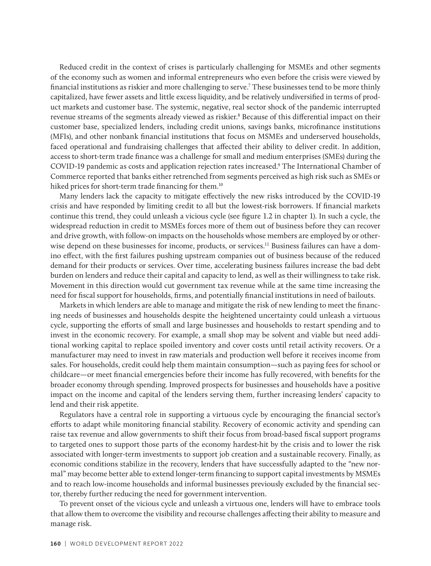Reduced credit in the context of crises is particularly challenging for MSMEs and other segments of the economy such as women and informal entrepreneurs who even before the crisis were viewed by financial institutions as riskier and more challenging to serve.7 These businesses tend to be more thinly capitalized, have fewer assets and little excess liquidity, and be relatively undiversified in terms of product markets and customer base. The systemic, negative, real sector shock of the pandemic interrupted revenue streams of the segments already viewed as riskier.8 Because of this differential impact on their customer base, specialized lenders, including credit unions, savings banks, microfinance institutions (MFIs), and other nonbank financial institutions that focus on MSMEs and underserved households, faced operational and fundraising challenges that affected their ability to deliver credit. In addition, access to short-term trade finance was a challenge for small and medium enterprises (SMEs) during the COVID-19 pandemic as costs and application rejection rates increased.9 The International Chamber of Commerce reported that banks either retrenched from segments perceived as high risk such as SMEs or hiked prices for short-term trade financing for them.<sup>10</sup>

Many lenders lack the capacity to mitigate effectively the new risks introduced by the COVID-19 crisis and have responded by limiting credit to all but the lowest-risk borrowers. If financial markets continue this trend, they could unleash a vicious cycle (see figure 1.2 in chapter 1). In such a cycle, the widespread reduction in credit to MSMEs forces more of them out of business before they can recover and drive growth, with follow-on impacts on the households whose members are employed by or otherwise depend on these businesses for income, products, or services.<sup>11</sup> Business failures can have a domino effect, with the first failures pushing upstream companies out of business because of the reduced demand for their products or services. Over time, accelerating business failures increase the bad debt burden on lenders and reduce their capital and capacity to lend, as well as their willingness to take risk. Movement in this direction would cut government tax revenue while at the same time increasing the need for fiscal support for households, firms, and potentially financial institutions in need of bailouts.

Markets in which lenders are able to manage and mitigate the risk of new lending to meet the financing needs of businesses and households despite the heightened uncertainty could unleash a virtuous cycle, supporting the efforts of small and large businesses and households to restart spending and to invest in the economic recovery. For example, a small shop may be solvent and viable but need additional working capital to replace spoiled inventory and cover costs until retail activity recovers. Or a manufacturer may need to invest in raw materials and production well before it receives income from sales. For households, credit could help them maintain consumption—such as paying fees for school or childcare—or meet financial emergencies before their income has fully recovered, with benefits for the broader economy through spending. Improved prospects for businesses and households have a positive impact on the income and capital of the lenders serving them, further increasing lenders' capacity to lend and their risk appetite.

Regulators have a central role in supporting a virtuous cycle by encouraging the financial sector's efforts to adapt while monitoring financial stability. Recovery of economic activity and spending can raise tax revenue and allow governments to shift their focus from broad-based fiscal support programs to targeted ones to support those parts of the economy hardest-hit by the crisis and to lower the risk associated with longer-term investments to support job creation and a sustainable recovery. Finally, as economic conditions stabilize in the recovery, lenders that have successfully adapted to the "new normal" may become better able to extend longer-term financing to support capital investments by MSMEs and to reach low-income households and informal businesses previously excluded by the financial sector, thereby further reducing the need for government intervention.

To prevent onset of the vicious cycle and unleash a virtuous one, lenders will have to embrace tools that allow them to overcome the visibility and recourse challenges affecting their ability to measure and manage risk.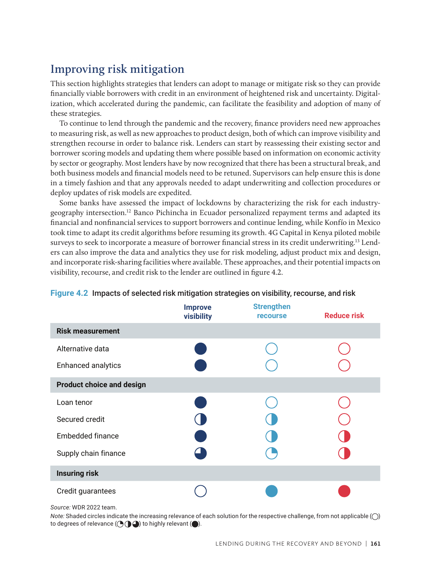# **Improving risk mitigation**

This section highlights strategies that lenders can adopt to manage or mitigate risk so they can provide financially viable borrowers with credit in an environment of heightened risk and uncertainty. Digitalization, which accelerated during the pandemic, can facilitate the feasibility and adoption of many of these strategies.

To continue to lend through the pandemic and the recovery, finance providers need new approaches to measuring risk, as well as new approaches to product design, both of which can improve visibility and strengthen recourse in order to balance risk. Lenders can start by reassessing their existing sector and borrower scoring models and updating them where possible based on information on economic activity by sector or geography. Most lenders have by now recognized that there has been a structural break, and both business models and financial models need to be retuned. Supervisors can help ensure this is done in a timely fashion and that any approvals needed to adapt underwriting and collection procedures or deploy updates of risk models are expedited.

Some banks have assessed the impact of lockdowns by characterizing the risk for each industrygeography intersection.12 Banco Pichincha in Ecuador personalized repayment terms and adapted its financial and nonfinancial services to support borrowers and continue lending, while Konfío in Mexico took time to adapt its credit algorithms before resuming its growth. 4G Capital in Kenya piloted mobile surveys to seek to incorporate a measure of borrower financial stress in its credit underwriting.13 Lenders can also improve the data and analytics they use for risk modeling, adjust product mix and design, and incorporate risk-sharing facilities where available. These approaches, and their potential impacts on visibility, recourse, and credit risk to the lender are outlined in figure 4.2.

|                                  | <b>Improve</b><br>visibility | <b>Strengthen</b><br><b>recourse</b> | <b>Reduce risk</b> |
|----------------------------------|------------------------------|--------------------------------------|--------------------|
| <b>Risk measurement</b>          |                              |                                      |                    |
| Alternative data                 |                              |                                      |                    |
| Enhanced analytics               |                              |                                      |                    |
| <b>Product choice and design</b> |                              |                                      |                    |
| Loan tenor                       |                              |                                      |                    |
| Secured credit                   |                              |                                      |                    |
| Embedded finance                 |                              |                                      |                    |
| Supply chain finance             |                              |                                      |                    |
| <b>Insuring risk</b>             |                              |                                      |                    |
| Credit guarantees                |                              |                                      |                    |

## **Figure 4.2** Impacts of selected risk mitigation strategies on visibility, recourse, and risk

*Source:* WDR 2022 team.

*Note:* Shaded circles indicate the increasing relevance of each solution for the respective challenge, from not applicable ( $\bigcirc$ ) to degrees of relevance  $(\bigodot \bigodot \bigodot)$  to highly relevant  $(\bigodot).$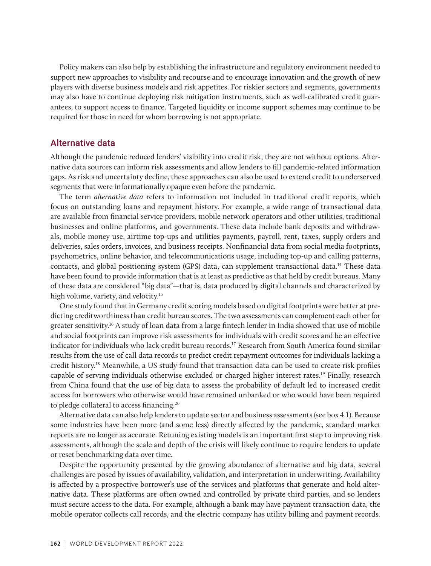Policy makers can also help by establishing the infrastructure and regulatory environment needed to support new approaches to visibility and recourse and to encourage innovation and the growth of new players with diverse business models and risk appetites. For riskier sectors and segments, governments may also have to continue deploying risk mitigation instruments, such as well-calibrated credit guarantees, to support access to finance. Targeted liquidity or income support schemes may continue to be required for those in need for whom borrowing is not appropriate.

## Alternative data

Although the pandemic reduced lenders' visibility into credit risk, they are not without options. Alternative data sources can inform risk assessments and allow lenders to fill pandemic-related information gaps. As risk and uncertainty decline, these approaches can also be used to extend credit to underserved segments that were informationally opaque even before the pandemic.

The term *alternative data* refers to information not included in traditional credit reports, which focus on outstanding loans and repayment history. For example, a wide range of transactional data are available from financial service providers, mobile network operators and other utilities, traditional businesses and online platforms, and governments. These data include bank deposits and withdrawals, mobile money use, airtime top-ups and utilities payments, payroll, rent, taxes, supply orders and deliveries, sales orders, invoices, and business receipts. Nonfinancial data from social media footprints, psychometrics, online behavior, and telecommunications usage, including top-up and calling patterns, contacts, and global positioning system (GPS) data, can supplement transactional data.14 These data have been found to provide information that is at least as predictive as that held by credit bureaus. Many of these data are considered "big data"—that is, data produced by digital channels and characterized by high volume, variety, and velocity.<sup>15</sup>

One study found that in Germany credit scoring models based on digital footprints were better at predicting creditworthiness than credit bureau scores. The two assessments can complement each other for greater sensitivity.16 A study of loan data from a large fintech lender in India showed that use of mobile and social footprints can improve risk assessments for individuals with credit scores and be an effective indicator for individuals who lack credit bureau records.17 Research from South America found similar results from the use of call data records to predict credit repayment outcomes for individuals lacking a credit history.18 Meanwhile, a US study found that transaction data can be used to create risk profiles capable of serving individuals otherwise excluded or charged higher interest rates.19 Finally, research from China found that the use of big data to assess the probability of default led to increased credit access for borrowers who otherwise would have remained unbanked or who would have been required to pledge collateral to access financing.<sup>20</sup>

Alternative data can also help lenders to update sector and business assessments (see box 4.1). Because some industries have been more (and some less) directly affected by the pandemic, standard market reports are no longer as accurate. Retuning existing models is an important first step to improving risk assessments, although the scale and depth of the crisis will likely continue to require lenders to update or reset benchmarking data over time.

Despite the opportunity presented by the growing abundance of alternative and big data, several challenges are posed by issues of availability, validation, and interpretation in underwriting. Availability is affected by a prospective borrower's use of the services and platforms that generate and hold alternative data. These platforms are often owned and controlled by private third parties, and so lenders must secure access to the data. For example, although a bank may have payment transaction data, the mobile operator collects call records, and the electric company has utility billing and payment records*.*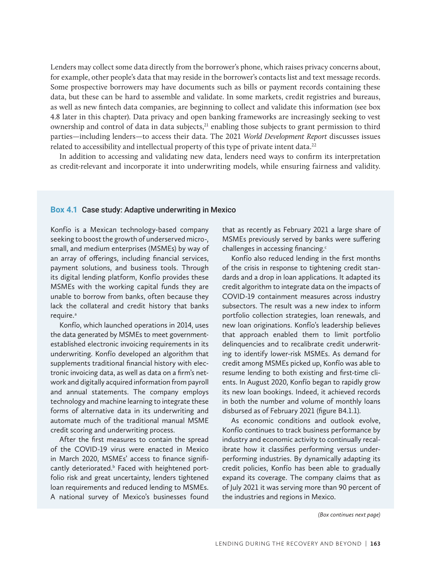Lenders may collect some data directly from the borrower's phone, which raises privacy concerns about, for example, other people's data that may reside in the borrower's contacts list and text message records. Some prospective borrowers may have documents such as bills or payment records containing these data, but these can be hard to assemble and validate. In some markets, credit registries and bureaus, as well as new fintech data companies, are beginning to collect and validate this information (see box 4.8 later in this chapter). Data privacy and open banking frameworks are increasingly seeking to vest ownership and control of data in data subjects, $2<sup>1</sup>$  enabling those subjects to grant permission to third parties—including lenders—to access their data. The 2021 *World Development Report* discusses issues related to accessibility and intellectual property of this type of private intent data.<sup>22</sup>

In addition to accessing and validating new data, lenders need ways to confirm its interpretation as credit-relevant and incorporate it into underwriting models, while ensuring fairness and validity.

#### **Box 4.1** Case study: Adaptive underwriting in Mexico

Konfío is a Mexican technology-based company seeking to boost the growth of underserved micro-, small, and medium enterprises (MSMEs) by way of an array of offerings, including financial services, payment solutions, and business tools. Through its digital lending platform, Konfío provides these MSMEs with the working capital funds they are unable to borrow from banks, often because they lack the collateral and credit history that banks require.<sup>a</sup>

Konfío, which launched operations in 2014, uses the data generated by MSMEs to meet governmentestablished electronic invoicing requirements in its underwriting. Konfío developed an algorithm that supplements traditional financial history with electronic invoicing data, as well as data on a firm's network and digitally acquired information from payroll and annual statements. The company employs technology and machine learning to integrate these forms of alternative data in its underwriting and automate much of the traditional manual MSME credit scoring and underwriting process.

After the first measures to contain the spread of the COVID-19 virus were enacted in Mexico in March 2020, MSMEs' access to finance significantly deteriorated.<sup>b</sup> Faced with heightened portfolio risk and great uncertainty, lenders tightened loan requirements and reduced lending to MSMEs. A national survey of Mexico's businesses found

that as recently as February 2021 a large share of MSMEs previously served by banks were suffering challenges in accessing financing.<sup>c</sup>

Konfío also reduced lending in the first months of the crisis in response to tightening credit standards and a drop in loan applications. It adapted its credit algorithm to integrate data on the impacts of COVID-19 containment measures across industry subsectors. The result was a new index to inform portfolio collection strategies, loan renewals, and new loan originations. Konfío's leadership believes that approach enabled them to limit portfolio delinquencies and to recalibrate credit underwriting to identify lower-risk MSMEs. As demand for credit among MSMEs picked up, Konfío was able to resume lending to both existing and first-time clients. In August 2020, Konfío began to rapidly grow its new loan bookings. Indeed, it achieved records in both the number and volume of monthly loans disbursed as of February 2021 (figure B4.1.1).

As economic conditions and outlook evolve, Konfío continues to track business performance by industry and economic activity to continually recalibrate how it classifies performing versus underperforming industries. By dynamically adapting its credit policies, Konfío has been able to gradually expand its coverage. The company claims that as of July 2021 it was serving more than 90 percent of the industries and regions in Mexico.

*(Box continues next page)*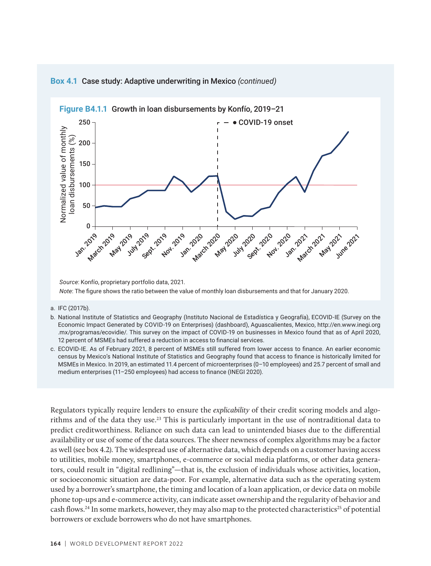

### **Box 4.1** Case study: Adaptive underwriting in Mexico *(continued)*

*Source*: Konfío, proprietary portfolio data, 2021. *Note*: The figure shows the ratio between the value of monthly loan disbursements and that for January 2020.

#### a. IFC (2017b).

- b. National Institute of Statistics and Geography (Instituto Nacional de Estadística y Geografía), ECOVID-IE (Survey on the Economic Impact Generated by COVID-19 on Enterprises) (dashboard), Aguascalientes, Mexico, http://en.www.inegi.org .mx/programas/ecovidie/. This survey on the impact of COVID-19 on businesses in Mexico found that as of April 2020, 12 percent of MSMEs had suffered a reduction in access to financial services.
- c. ECOVID-IE. As of February 2021, 8 percent of MSMEs still suffered from lower access to finance. An earlier economic census by Mexico's National Institute of Statistics and Geography found that access to finance is historically limited for MSMEs in Mexico. In 2019, an estimated 11.4 percent of microenterprises (0–10 employees) and 25.7 percent of small and medium enterprises (11–250 employees) had access to finance (INEGI 2020).

Regulators typically require lenders to ensure the *explicability* of their credit scoring models and algorithms and of the data they use.23 This is particularly important in the use of nontraditional data to predict creditworthiness. Reliance on such data can lead to unintended biases due to the differential availability or use of some of the data sources. The sheer newness of complex algorithms may be a factor as well (see box 4.2). The widespread use of alternative data, which depends on a customer having access to utilities, mobile money, smartphones, e-commerce or social media platforms, or other data generators, could result in "digital redlining"—that is, the exclusion of individuals whose activities, location, or socioeconomic situation are data-poor. For example, alternative data such as the operating system used by a borrower's smartphone, the timing and location of a loan application, or device data on mobile phone top-ups and e-commerce activity, can indicate asset ownership and the regularity of behavior and cash flows.<sup>24</sup> In some markets, however, they may also map to the protected characteristics<sup>25</sup> of potential borrowers or exclude borrowers who do not have smartphones.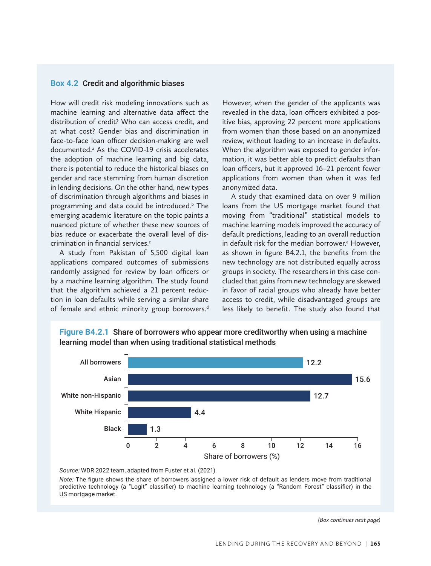### **Box 4.2** Credit and algorithmic biases

How will credit risk modeling innovations such as machine learning and alternative data affect the distribution of credit? Who can access credit, and at what cost? Gender bias and discrimination in face-to-face loan officer decision-making are well documented.<sup>a</sup> As the COVID-19 crisis accelerates the adoption of machine learning and big data, there is potential to reduce the historical biases on gender and race stemming from human discretion in lending decisions. On the other hand, new types of discrimination through algorithms and biases in programming and data could be introduced.<sup>b</sup> The emerging academic literature on the topic paints a nuanced picture of whether these new sources of bias reduce or exacerbate the overall level of discrimination in financial services.<sup>c</sup>

A study from Pakistan of 5,500 digital loan applications compared outcomes of submissions randomly assigned for review by loan officers or by a machine learning algorithm. The study found that the algorithm achieved a 21 percent reduction in loan defaults while serving a similar share of female and ethnic minority group borrowers.<sup>d</sup>

However, when the gender of the applicants was revealed in the data, loan officers exhibited a positive bias, approving 22 percent more applications from women than those based on an anonymized review, without leading to an increase in defaults. When the algorithm was exposed to gender information, it was better able to predict defaults than loan officers, but it approved 16–21 percent fewer applications from women than when it was fed anonymized data.

A study that examined data on over 9 million loans from the US mortgage market found that moving from "traditional" statistical models to machine learning models improved the accuracy of default predictions, leading to an overall reduction in default risk for the median borrower.<sup>e</sup> However, as shown in figure B4.2.1, the benefits from the new technology are not distributed equally across groups in society. The researchers in this case concluded that gains from new technology are skewed in favor of racial groups who already have better access to credit, while disadvantaged groups are less likely to benefit. The study also found that



**Figure B4.2.1** Share of borrowers who appear more creditworthy when using a machine learning model than when using traditional statistical methods

*Source:* WDR 2022 team, adapted from Fuster et al. (2021).

*Note:* The figure shows the share of borrowers assigned a lower risk of default as lenders move from traditional predictive technology (a "Logit" classifier) to machine learning technology (a "Random Forest" classifier) in the US mortgage market.

*(Box continues next page)*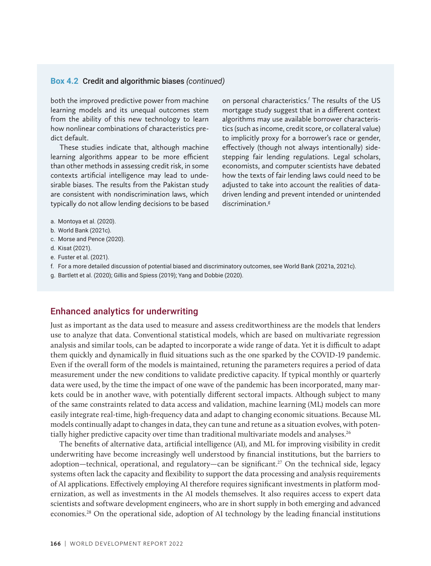## **Box 4.2** Credit and algorithmic biases *(continued)*

both the improved predictive power from machine learning models and its unequal outcomes stem from the ability of this new technology to learn how nonlinear combinations of characteristics predict default.

These studies indicate that, although machine learning algorithms appear to be more efficient than other methods in assessing credit risk, in some contexts artificial intelligence may lead to undesirable biases. The results from the Pakistan study are consistent with nondiscrimination laws, which typically do not allow lending decisions to be based

on personal characteristics.<sup>f</sup> The results of the US mortgage study suggest that in a different context algorithms may use available borrower characteristics (such as income, credit score, or collateral value) to implicitly proxy for a borrower's race or gender, effectively (though not always intentionally) sidestepping fair lending regulations. Legal scholars, economists, and computer scientists have debated how the texts of fair lending laws could need to be adjusted to take into account the realities of datadriven lending and prevent intended or unintended discrimination.<sup>g</sup>

- a. Montoya et al. (2020).
- b. World Bank (2021c).
- c. Morse and Pence (2020).
- d. Kisat (2021).
- e. Fuster et al. (2021).
- f. For a more detailed discussion of potential biased and discriminatory outcomes, see World Bank (2021a, 2021c).
- g. Bartlett et al. (2020); Gillis and Spiess (2019); Yang and Dobbie (2020).

## Enhanced analytics for underwriting

Just as important as the data used to measure and assess creditworthiness are the models that lenders use to analyze that data. Conventional statistical models, which are based on multivariate regression analysis and similar tools, can be adapted to incorporate a wide range of data. Yet it is difficult to adapt them quickly and dynamically in fluid situations such as the one sparked by the COVID-19 pandemic. Even if the overall form of the models is maintained, retuning the parameters requires a period of data measurement under the new conditions to validate predictive capacity. If typical monthly or quarterly data were used, by the time the impact of one wave of the pandemic has been incorporated, many markets could be in another wave, with potentially different sectoral impacts. Although subject to many of the same constraints related to data access and validation, machine learning (ML) models can more easily integrate real-time, high-frequency data and adapt to changing economic situations. Because ML models continually adapt to changes in data, they can tune and retune as a situation evolves, with potentially higher predictive capacity over time than traditional multivariate models and analyses.<sup>26</sup>

The benefits of alternative data, artificial intelligence (AI), and ML for improving visibility in credit underwriting have become increasingly well understood by financial institutions, but the barriers to adoption—technical, operational, and regulatory—can be significant.<sup>27</sup> On the technical side, legacy systems often lack the capacity and flexibility to support the data processing and analysis requirements of AI applications. Effectively employing AI therefore requires significant investments in platform modernization, as well as investments in the AI models themselves. It also requires access to expert data scientists and software development engineers, who are in short supply in both emerging and advanced economies.28 On the operational side, adoption of AI technology by the leading financial institutions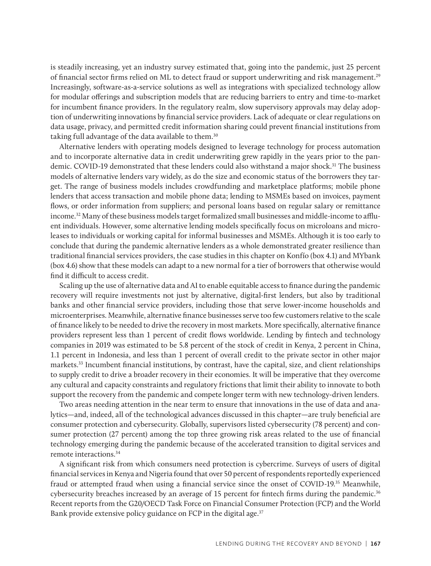is steadily increasing, yet an industry survey estimated that, going into the pandemic, just 25 percent of financial sector firms relied on ML to detect fraud or support underwriting and risk management.29 Increasingly, software-as-a-service solutions as well as integrations with specialized technology allow for modular offerings and subscription models that are reducing barriers to entry and time-to-market for incumbent finance providers. In the regulatory realm, slow supervisory approvals may delay adoption of underwriting innovations by financial service providers. Lack of adequate or clear regulations on data usage, privacy, and permitted credit information sharing could prevent financial institutions from taking full advantage of the data available to them.<sup>30</sup>

Alternative lenders with operating models designed to leverage technology for process automation and to incorporate alternative data in credit underwriting grew rapidly in the years prior to the pandemic. COVID-19 demonstrated that these lenders could also withstand a major shock.<sup>31</sup> The business models of alternative lenders vary widely, as do the size and economic status of the borrowers they target. The range of business models includes crowdfunding and marketplace platforms; mobile phone lenders that access transaction and mobile phone data; lending to MSMEs based on invoices, payment flows, or order information from suppliers; and personal loans based on regular salary or remittance income.<sup>32</sup> Many of these business models target formalized small businesses and middle-income to affluent individuals. However, some alternative lending models specifically focus on microloans and microleases to individuals or working capital for informal businesses and MSMEs. Although it is too early to conclude that during the pandemic alternative lenders as a whole demonstrated greater resilience than traditional financial services providers, the case studies in this chapter on Konfío (box 4.1) and MYbank (box 4.6) show that these models can adapt to a new normal for a tier of borrowers that otherwise would find it difficult to access credit.

Scaling up the use of alternative data and AI to enable equitable access to finance during the pandemic recovery will require investments not just by alternative, digital-first lenders, but also by traditional banks and other financial service providers, including those that serve lower-income households and microenterprises. Meanwhile, alternative finance businesses serve too few customers relative to the scale of finance likely to be needed to drive the recovery in most markets. More specifically, alternative finance providers represent less than 1 percent of credit flows worldwide. Lending by fintech and technology companies in 2019 was estimated to be 5.8 percent of the stock of credit in Kenya, 2 percent in China, 1.1 percent in Indonesia, and less than 1 percent of overall credit to the private sector in other major markets.33 Incumbent financial institutions, by contrast, have the capital, size, and client relationships to supply credit to drive a broader recovery in their economies. It will be imperative that they overcome any cultural and capacity constraints and regulatory frictions that limit their ability to innovate to both support the recovery from the pandemic and compete longer term with new technology-driven lenders.

Two areas needing attention in the near term to ensure that innovations in the use of data and analytics—and, indeed, all of the technological advances discussed in this chapter—are truly beneficial are consumer protection and cybersecurity. Globally, supervisors listed cybersecurity (78 percent) and consumer protection (27 percent) among the top three growing risk areas related to the use of financial technology emerging during the pandemic because of the accelerated transition to digital services and remote interactions.34

A significant risk from which consumers need protection is cybercrime. Surveys of users of digital financial services in Kenya and Nigeria found that over 50 percent of respondents reportedly experienced fraud or attempted fraud when using a financial service since the onset of COVID-19.35 Meanwhile, cybersecurity breaches increased by an average of 15 percent for fintech firms during the pandemic.<sup>36</sup> Recent reports from the G20/OECD Task Force on Financial Consumer Protection (FCP) and the World Bank provide extensive policy guidance on FCP in the digital age.<sup>37</sup>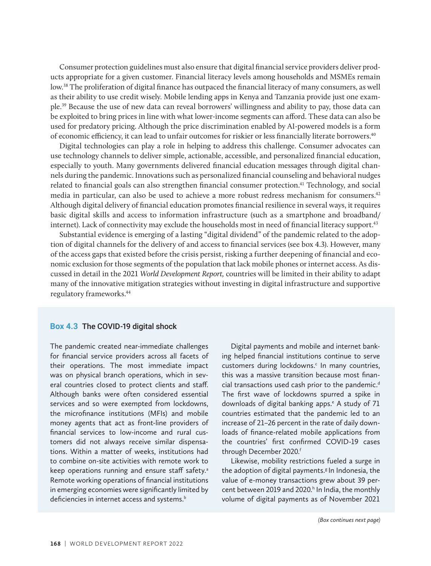Consumer protection guidelines must also ensure that digital financial service providers deliver products appropriate for a given customer. Financial literacy levels among households and MSMEs remain low.38 The proliferation of digital finance has outpaced the financial literacy of many consumers, as well as their ability to use credit wisely. Mobile lending apps in Kenya and Tanzania provide just one example.39 Because the use of new data can reveal borrowers' willingness and ability to pay, those data can be exploited to bring prices in line with what lower-income segments can afford. These data can also be used for predatory pricing. Although the price discrimination enabled by AI-powered models is a form of economic efficiency, it can lead to unfair outcomes for riskier or less financially literate borrowers.40

Digital technologies can play a role in helping to address this challenge. Consumer advocates can use technology channels to deliver simple, actionable, accessible, and personalized financial education, especially to youth. Many governments delivered financial education messages through digital channels during the pandemic. Innovations such as personalized financial counseling and behavioral nudges related to financial goals can also strengthen financial consumer protection.41 Technology, and social media in particular, can also be used to achieve a more robust redress mechanism for consumers.42 Although digital delivery of financial education promotes financial resilience in several ways, it requires basic digital skills and access to information infrastructure (such as a smartphone and broadband/ internet). Lack of connectivity may exclude the households most in need of financial literacy support.<sup>43</sup>

Substantial evidence is emerging of a lasting "digital dividend" of the pandemic related to the adoption of digital channels for the delivery of and access to financial services (see box 4.3). However, many of the access gaps that existed before the crisis persist, risking a further deepening of financial and economic exclusion for those segments of the population that lack mobile phones or internet access. As discussed in detail in the 2021 *World Development Report,* countries will be limited in their ability to adapt many of the innovative mitigation strategies without investing in digital infrastructure and supportive regulatory frameworks.44

#### **Box 4.3** The COVID-19 digital shock

The pandemic created near-immediate challenges for financial service providers across all facets of their operations. The most immediate impact was on physical branch operations, which in several countries closed to protect clients and staff. Although banks were often considered essential services and so were exempted from lockdowns, the microfinance institutions (MFIs) and mobile money agents that act as front-line providers of financial services to low-income and rural customers did not always receive similar dispensations. Within a matter of weeks, institutions had to combine on-site activities with remote work to keep operations running and ensure staff safety.<sup>a</sup> Remote working operations of financial institutions in emerging economies were significantly limited by deficiencies in internet access and systems.<sup>b</sup>

Digital payments and mobile and internet banking helped financial institutions continue to serve customers during lockdowns.<sup>c</sup> In many countries, this was a massive transition because most financial transactions used cash prior to the pandemic.<sup>d</sup> The first wave of lockdowns spurred a spike in downloads of digital banking apps.<sup>e</sup> A study of 71 countries estimated that the pandemic led to an increase of 21–26 percent in the rate of daily downloads of finance-related mobile applications from the countries' first confirmed COVID-19 cases through December 2020.f

Likewise, mobility restrictions fueled a surge in the adoption of digital payments.<sup>g</sup> In Indonesia, the value of e-money transactions grew about 39 percent between 2019 and 2020.<sup>h</sup> In India, the monthly volume of digital payments as of November 2021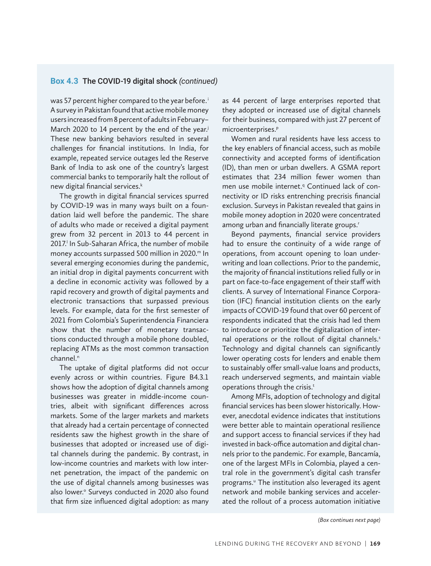## **Box 4.3** The COVID-19 digital shock *(continued)*

was 57 percent higher compared to the year before.<sup>i</sup> A survey in Pakistan found that active mobile money users increased from 8 percent of adults in February– March 2020 to 14 percent by the end of the year.<sup>j</sup> These new banking behaviors resulted in several challenges for financial institutions. In India, for example, repeated service outages led the Reserve Bank of India to ask one of the country's largest commercial banks to temporarily halt the rollout of new digital financial services.<sup>k</sup>

The growth in digital financial services spurred by COVID-19 was in many ways built on a foundation laid well before the pandemic. The share of adults who made or received a digital payment grew from 32 percent in 2013 to 44 percent in 2017.<sup>I</sup> In Sub-Saharan Africa, the number of mobile money accounts surpassed 500 million in 2020.<sup>m</sup> In several emerging economies during the pandemic, an initial drop in digital payments concurrent with a decline in economic activity was followed by a rapid recovery and growth of digital payments and electronic transactions that surpassed previous levels. For example, data for the first semester of 2021 from Colombia's Superintendencia Financiera show that the number of monetary transactions conducted through a mobile phone doubled, replacing ATMs as the most common transaction channel.<sup>n</sup>

The uptake of digital platforms did not occur evenly across or within countries. Figure B4.3.1 shows how the adoption of digital channels among businesses was greater in middle-income countries, albeit with significant differences across markets. Some of the larger markets and markets that already had a certain percentage of connected residents saw the highest growth in the share of businesses that adopted or increased use of digital channels during the pandemic. By contrast, in low-income countries and markets with low internet penetration, the impact of the pandemic on the use of digital channels among businesses was also lower.<sup>o</sup> Surveys conducted in 2020 also found that firm size influenced digital adoption: as many

as 44 percent of large enterprises reported that they adopted or increased use of digital channels for their business, compared with just 27 percent of microenterprises.<sup>p</sup>

Women and rural residents have less access to the key enablers of financial access, such as mobile connectivity and accepted forms of identification (ID), than men or urban dwellers. A GSMA report estimates that 234 million fewer women than men use mobile internet.<sup>9</sup> Continued lack of connectivity or ID risks entrenching precrisis financial exclusion. Surveys in Pakistan revealed that gains in mobile money adoption in 2020 were concentrated among urban and financially literate groups.<sup>r</sup>

Beyond payments, financial service providers had to ensure the continuity of a wide range of operations, from account opening to loan underwriting and loan collections. Prior to the pandemic, the majority of financial institutions relied fully or in part on face-to-face engagement of their staff with clients. A survey of International Finance Corporation (IFC) financial institution clients on the early impacts of COVID-19 found that over 60 percent of respondents indicated that the crisis had led them to introduce or prioritize the digitalization of internal operations or the rollout of digital channels.<sup>s</sup> Technology and digital channels can significantly lower operating costs for lenders and enable them to sustainably offer small-value loans and products, reach underserved segments, and maintain viable operations through the crisis.<sup>t</sup>

Among MFIs, adoption of technology and digital financial services has been slower historically. However, anecdotal evidence indicates that institutions were better able to maintain operational resilience and support access to financial services if they had invested in back-office automation and digital channels prior to the pandemic. For example, Bancamía, one of the largest MFIs in Colombia, played a central role in the government's digital cash transfer programs.<sup>"</sup> The institution also leveraged its agent network and mobile banking services and accelerated the rollout of a process automation initiative

*(Box continues next page)*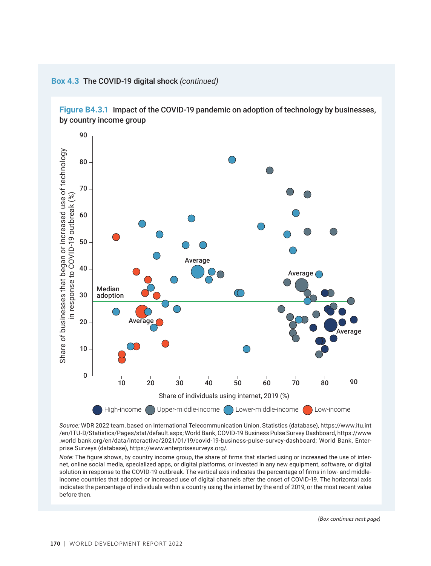

**Box 4.3** The COVID-19 digital shock *(continued)*

*Source:* WDR 2022 team, based on International Telecommunication Union, Statistics (database), https://www.itu.int /en/ITU-D/Statistics/Pages/stat/default.aspx; World Bank, COVID-19 Business Pulse Survey Dashboard, https://www .world bank.org/en/data/interactive/2021/01/19/covid-19-business-pulse-survey-dashboard; World Bank, Enterprise Surveys (database), https://www.enterprisesurveys.org/.

*Note:* The figure shows, by country income group, the share of firms that started using or increased the use of internet, online social media, specialized apps, or digital platforms, or invested in any new equipment, software, or digital solution in response to the COVID-19 outbreak. The vertical axis indicates the percentage of firms in low- and middleincome countries that adopted or increased use of digital channels after the onset of COVID-19. The horizontal axis indicates the percentage of individuals within a country using the internet by the end of 2019, or the most recent value before then.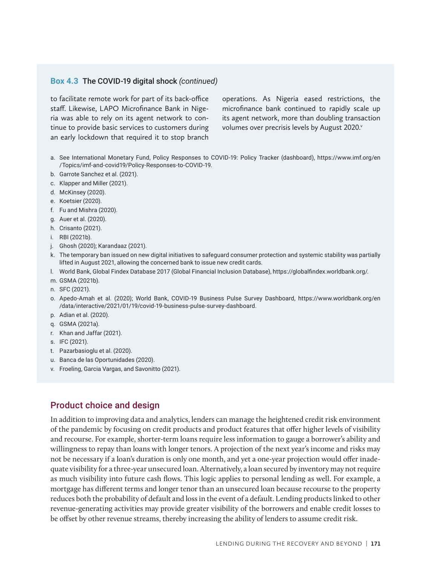## **Box 4.3** The COVID-19 digital shock *(continued)*

to facilitate remote work for part of its back-office staff. Likewise, LAPO Microfinance Bank in Nigeria was able to rely on its agent network to continue to provide basic services to customers during an early lockdown that required it to stop branch

operations. As Nigeria eased restrictions, the microfinance bank continued to rapidly scale up its agent network, more than doubling transaction volumes over precrisis levels by August 2020.<sup>v</sup>

- a. See International Monetary Fund, Policy Responses to COVID-19: Policy Tracker (dashboard), https://www.imf.org/en /Topics/imf-and-covid19/Policy-Responses-to-COVID-19.
- b. Garrote Sanchez et al. (2021).
- c. Klapper and Miller (2021).
- d. McKinsey (2020).
- e. Koetsier (2020).
- f. Fu and Mishra (2020).
- g. Auer et al. (2020).
- h. Crisanto (2021).
- i. RBI (2021b).
- j. Ghosh (2020); Karandaaz (2021).
- k. The temporary ban issued on new digital initiatives to safeguard consumer protection and systemic stability was partially lifted in August 2021, allowing the concerned bank to issue new credit cards.
- l. World Bank, Global Findex Database 2017 (Global Financial Inclusion Database), https://globalfindex.worldbank.org/.
- m. GSMA (2021b).
- n. SFC (2021).
- o. Apedo-Amah et al. (2020); World Bank, COVID-19 Business Pulse Survey Dashboard, https://www.worldbank.org/en /data/interactive/2021/01/19/covid-19-business-pulse-survey-dashboard.
- p. Adian et al. (2020).
- q. GSMA (2021a).
- r. Khan and Jaffar (2021).
- s. IFC (2021).
- t. Pazarbasioglu et al. (2020).
- u. Banca de las Oportunidades (2020).
- v. Froeling, Garcia Vargas, and Savonitto (2021).

## Product choice and design

In addition to improving data and analytics, lenders can manage the heightened credit risk environment of the pandemic by focusing on credit products and product features that offer higher levels of visibility and recourse. For example, shorter-term loans require less information to gauge a borrower's ability and willingness to repay than loans with longer tenors. A projection of the next year's income and risks may not be necessary if a loan's duration is only one month, and yet a one-year projection would offer inadequate visibility for a three-year unsecured loan. Alternatively, a loan secured by inventory may not require as much visibility into future cash flows. This logic applies to personal lending as well. For example, a mortgage has different terms and longer tenor than an unsecured loan because recourse to the property reduces both the probability of default and loss in the event of a default. Lending products linked to other revenue-generating activities may provide greater visibility of the borrowers and enable credit losses to be offset by other revenue streams, thereby increasing the ability of lenders to assume credit risk.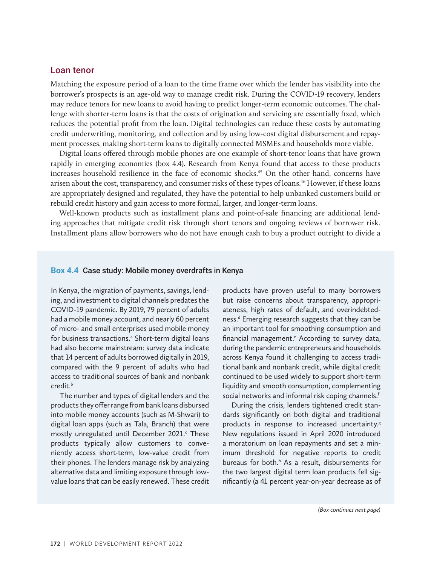## Loan tenor

Matching the exposure period of a loan to the time frame over which the lender has visibility into the borrower's prospects is an age-old way to manage credit risk. During the COVID-19 recovery, lenders may reduce tenors for new loans to avoid having to predict longer-term economic outcomes. The challenge with shorter-term loans is that the costs of origination and servicing are essentially fixed, which reduces the potential profit from the loan. Digital technologies can reduce these costs by automating credit underwriting, monitoring, and collection and by using low-cost digital disbursement and repayment processes, making short-term loans to digitally connected MSMEs and households more viable.

Digital loans offered through mobile phones are one example of short-tenor loans that have grown rapidly in emerging economies (box 4.4). Research from Kenya found that access to these products increases household resilience in the face of economic shocks.45 On the other hand, concerns have arisen about the cost, transparency, and consumer risks of these types of loans.46 However, if these loans are appropriately designed and regulated, they have the potential to help unbanked customers build or rebuild credit history and gain access to more formal, larger, and longer-term loans.

Well-known products such as installment plans and point-of-sale financing are additional lending approaches that mitigate credit risk through short tenors and ongoing reviews of borrower risk. Installment plans allow borrowers who do not have enough cash to buy a product outright to divide a

### **Box 4.4** Case study: Mobile money overdrafts in Kenya

In Kenya, the migration of payments, savings, lending, and investment to digital channels predates the COVID-19 pandemic. By 2019, 79 percent of adults had a mobile money account, and nearly 60 percent of micro- and small enterprises used mobile money for business transactions.<sup>a</sup> Short-term digital loans had also become mainstream: survey data indicate that 14 percent of adults borrowed digitally in 2019, compared with the 9 percent of adults who had access to traditional sources of bank and nonbank credit.<sup>b</sup>

The number and types of digital lenders and the products they offer range from bank loans disbursed into mobile money accounts (such as M-Shwari) to digital loan apps (such as Tala, Branch) that were mostly unregulated until December 2021.<sup>c</sup> These products typically allow customers to conveniently access short-term, low-value credit from their phones. The lenders manage risk by analyzing alternative data and limiting exposure through lowvalue loans that can be easily renewed. These credit products have proven useful to many borrowers but raise concerns about transparency, appropriateness, high rates of default, and overindebtedness.<sup>d</sup> Emerging research suggests that they can be an important tool for smoothing consumption and financial management.<sup>e</sup> According to survey data, during the pandemic entrepreneurs and households across Kenya found it challenging to access traditional bank and nonbank credit, while digital credit continued to be used widely to support short-term liquidity and smooth consumption, complementing social networks and informal risk coping channels.<sup>f</sup>

During the crisis, lenders tightened credit standards significantly on both digital and traditional products in response to increased uncertainty. $s$ New regulations issued in April 2020 introduced a moratorium on loan repayments and set a minimum threshold for negative reports to credit bureaus for both.<sup>h</sup> As a result, disbursements for the two largest digital term loan products fell significantly (a 41 percent year-on-year decrease as of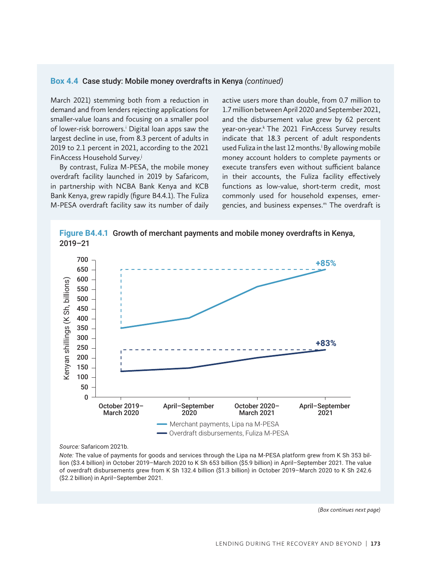#### **Box 4.4** Case study: Mobile money overdrafts in Kenya *(continued)*

March 2021) stemming both from a reduction in demand and from lenders rejecting applications for smaller-value loans and focusing on a smaller pool of lower-risk borrowers.<sup>i</sup> Digital loan apps saw the largest decline in use, from 8.3 percent of adults in 2019 to 2.1 percent in 2021, according to the 2021 FinAccess Household Survey.j

By contrast, Fuliza M-PESA, the mobile money overdraft facility launched in 2019 by Safaricom, in partnership with NCBA Bank Kenya and KCB Bank Kenya, grew rapidly (figure B4.4.1). The Fuliza M-PESA overdraft facility saw its number of daily active users more than double, from 0.7 million to 1.7 million between April 2020 and September 2021, and the disbursement value grew by 62 percent year-on-year.<sup>k</sup> The 2021 FinAccess Survey results indicate that 18.3 percent of adult respondents used Fuliza in the last 12 months.<sup>1</sup> By allowing mobile money account holders to complete payments or execute transfers even without sufficient balance in their accounts, the Fuliza facility effectively functions as low-value, short-term credit, most commonly used for household expenses, emergencies, and business expenses.m The overdraft is



**Figure B4.4.1** Growth of merchant payments and mobile money overdrafts in Kenya,

*Source:* Safaricom 2021b.

*Note:* The value of payments for goods and services through the Lipa na M-PESA platform grew from K Sh 353 billion (\$3.4 billion) in October 2019–March 2020 to K Sh 653 billion (\$5.9 billion) in April–September 2021. The value of overdraft disbursements grew from K Sh 132.4 billion (\$1.3 billion) in October 2019–March 2020 to K Sh 242.6 (\$2.2 billion) in April–September 2021.

*(Box continues next page)*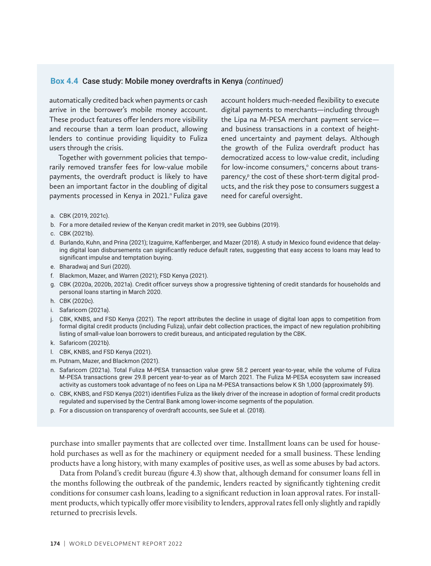### **Box 4.4** Case study: Mobile money overdrafts in Kenya *(continued)*

automatically credited back when payments or cash arrive in the borrower's mobile money account. These product features offer lenders more visibility and recourse than a term loan product, allowing lenders to continue providing liquidity to Fuliza users through the crisis.

Together with government policies that temporarily removed transfer fees for low-value mobile payments, the overdraft product is likely to have been an important factor in the doubling of digital payments processed in Kenya in 2021." Fuliza gave account holders much-needed flexibility to execute digital payments to merchants—including through the Lipa na M-PESA merchant payment service and business transactions in a context of heightened uncertainty and payment delays. Although the growth of the Fuliza overdraft product has democratized access to low-value credit, including for low-income consumers,<sup>o</sup> concerns about transparency,<sup>p</sup> the cost of these short-term digital products, and the risk they pose to consumers suggest a need for careful oversight.

a. CBK (2019, 2021c).

- b. For a more detailed review of the Kenyan credit market in 2019, see Gubbins (2019).
- c. CBK (2021b).
- d. Burlando, Kuhn, and Prina (2021); Izaguirre, Kaffenberger, and Mazer (2018). A study in Mexico found evidence that delaying digital loan disbursements can significantly reduce default rates, suggesting that easy access to loans may lead to significant impulse and temptation buying.
- e. Bharadwaj and Suri (2020).
- f. Blackmon, Mazer, and Warren (2021); FSD Kenya (2021).
- g. CBK (2020a, 2020b, 2021a). Credit officer surveys show a progressive tightening of credit standards for households and personal loans starting in March 2020.
- h. CBK (2020c).
- i. Safaricom (2021a).
- j. CBK, KNBS, and FSD Kenya (2021). The report attributes the decline in usage of digital loan apps to competition from formal digital credit products (including Fuliza), unfair debt collection practices, the impact of new regulation prohibiting listing of small-value loan borrowers to credit bureaus, and anticipated regulation by the CBK.
- k. Safaricom (2021b).
- l. CBK, KNBS, and FSD Kenya (2021).
- m. Putnam, Mazer, and Blackmon (2021).
- n. Safaricom (2021a). Total Fuliza M-PESA transaction value grew 58.2 percent year-to-year, while the volume of Fuliza M-PESA transactions grew 29.8 percent year-to-year as of March 2021. The Fuliza M-PESA ecosystem saw increased activity as customers took advantage of no fees on Lipa na M-PESA transactions below K Sh 1,000 (approximately \$9).
- o. CBK, KNBS, and FSD Kenya (2021) identifies Fuliza as the likely driver of the increase in adoption of formal credit products regulated and supervised by the Central Bank among lower-income segments of the population.
- p. For a discussion on transparency of overdraft accounts, see Sule et al. (2018).

purchase into smaller payments that are collected over time. Installment loans can be used for household purchases as well as for the machinery or equipment needed for a small business. These lending products have a long history, with many examples of positive uses, as well as some abuses by bad actors.

Data from Poland's credit bureau (figure 4.3) show that, although demand for consumer loans fell in the months following the outbreak of the pandemic, lenders reacted by significantly tightening credit conditions for consumer cash loans, leading to a significant reduction in loan approval rates. For installment products, which typically offer more visibility to lenders, approval rates fell only slightly and rapidly returned to precrisis levels.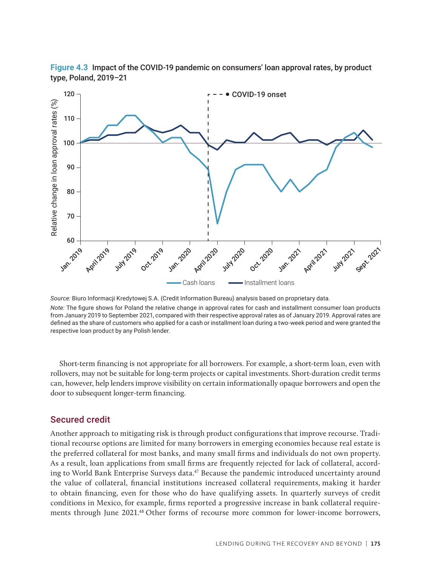



*Source:* Biuro Informacji Kredytowej S.A. (Credit Information Bureau) analysis based on proprietary data. *Note:* The figure shows for Poland the relative change in approval rates for cash and installment consumer loan products from January 2019 to September 2021, compared with their respective approval rates as of January 2019. Approval rates are defined as the share of customers who applied for a cash or installment loan during a two-week period and were granted the respective loan product by any Polish lender.

Short-term financing is not appropriate for all borrowers. For example, a short-term loan, even with rollovers, may not be suitable for long-term projects or capital investments. Short-duration credit terms can, however, help lenders improve visibility on certain informationally opaque borrowers and open the door to subsequent longer-term financing.

## Secured credit

Another approach to mitigating risk is through product configurations that improve recourse. Traditional recourse options are limited for many borrowers in emerging economies because real estate is the preferred collateral for most banks, and many small firms and individuals do not own property. As a result, loan applications from small firms are frequently rejected for lack of collateral, according to World Bank Enterprise Surveys data.<sup>47</sup> Because the pandemic introduced uncertainty around the value of collateral, financial institutions increased collateral requirements, making it harder to obtain financing, even for those who do have qualifying assets. In quarterly surveys of credit conditions in Mexico, for example, firms reported a progressive increase in bank collateral requirements through June 2021.48 Other forms of recourse more common for lower-income borrowers,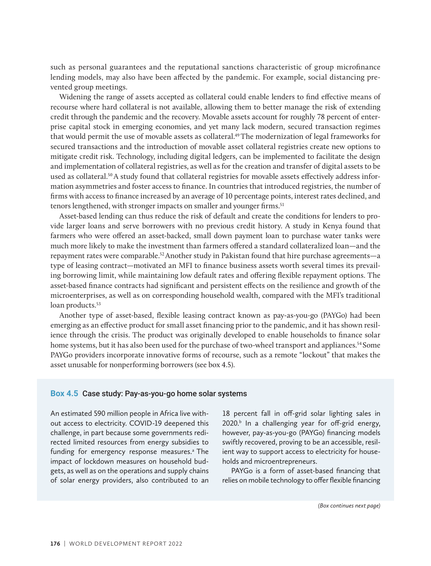such as personal guarantees and the reputational sanctions characteristic of group microfinance lending models, may also have been affected by the pandemic. For example, social distancing prevented group meetings.

Widening the range of assets accepted as collateral could enable lenders to find effective means of recourse where hard collateral is not available, allowing them to better manage the risk of extending credit through the pandemic and the recovery. Movable assets account for roughly 78 percent of enterprise capital stock in emerging economies, and yet many lack modern, secured transaction regimes that would permit the use of movable assets as collateral.<sup>49</sup> The modernization of legal frameworks for secured transactions and the introduction of movable asset collateral registries create new options to mitigate credit risk. Technology, including digital ledgers, can be implemented to facilitate the design and implementation of collateral registries, as well as for the creation and transfer of digital assets to be used as collateral.50 A study found that collateral registries for movable assets effectively address information asymmetries and foster access to finance. In countries that introduced registries, the number of firms with access to finance increased by an average of 10 percentage points, interest rates declined, and tenors lengthened, with stronger impacts on smaller and younger firms.<sup>51</sup>

Asset-based lending can thus reduce the risk of default and create the conditions for lenders to provide larger loans and serve borrowers with no previous credit history. A study in Kenya found that farmers who were offered an asset-backed, small down payment loan to purchase water tanks were much more likely to make the investment than farmers offered a standard collateralized loan—and the repayment rates were comparable.52 Another study in Pakistan found that hire purchase agreements—a type of leasing contract—motivated an MFI to finance business assets worth several times its prevailing borrowing limit, while maintaining low default rates and offering flexible repayment options. The asset-based finance contracts had significant and persistent effects on the resilience and growth of the microenterprises, as well as on corresponding household wealth, compared with the MFI's traditional loan products.<sup>53</sup>

Another type of asset-based, flexible leasing contract known as pay-as-you-go (PAYGo) had been emerging as an effective product for small asset financing prior to the pandemic, and it has shown resilience through the crisis. The product was originally developed to enable households to finance solar home systems, but it has also been used for the purchase of two-wheel transport and appliances.<sup>54</sup> Some PAYGo providers incorporate innovative forms of recourse, such as a remote "lockout" that makes the asset unusable for nonperforming borrowers (see box 4.5).

#### **Box 4.5** Case study: Pay-as-you-go home solar systems

An estimated 590 million people in Africa live without access to electricity. COVID-19 deepened this challenge, in part because some governments redirected limited resources from energy subsidies to funding for emergency response measures.<sup>a</sup> The impact of lockdown measures on household budgets, as well as on the operations and supply chains of solar energy providers, also contributed to an

18 percent fall in off-grid solar lighting sales in  $2020$ .<sup>b</sup> In a challenging year for off-grid energy, however, pay-as-you-go (PAYGo) financing models swiftly recovered, proving to be an accessible, resilient way to support access to electricity for households and microentrepreneurs.

PAYGo is a form of asset-based financing that relies on mobile technology to offer flexible financing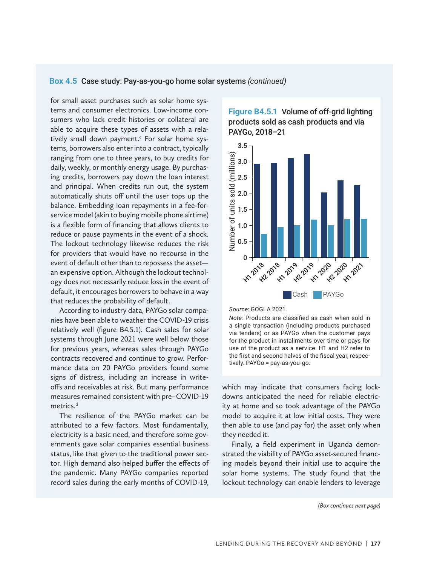#### **Box 4.5** Case study: Pay-as-you-go home solar systems *(continued)*

for small asset purchases such as solar home systems and consumer electronics. Low-income consumers who lack credit histories or collateral are able to acquire these types of assets with a relatively small down payment.<sup>c</sup> For solar home systems, borrowers also enter into a contract, typically ranging from one to three years, to buy credits for daily, weekly, or monthly energy usage. By purchasing credits, borrowers pay down the loan interest and principal. When credits run out, the system automatically shuts off until the user tops up the balance. Embedding loan repayments in a fee-forservice model (akin to buying mobile phone airtime) is a flexible form of financing that allows clients to reduce or pause payments in the event of a shock. The lockout technology likewise reduces the risk for providers that would have no recourse in the event of default other than to repossess the asset an expensive option. Although the lockout technology does not necessarily reduce loss in the event of default, it encourages borrowers to behave in a way that reduces the probability of default.

According to industry data, PAYGo solar companies have been able to weather the COVID-19 crisis relatively well (figure B4.5.1). Cash sales for solar systems through June 2021 were well below those for previous years, whereas sales through PAYGo contracts recovered and continue to grow. Performance data on 20 PAYGo providers found some signs of distress, including an increase in writeoffs and receivables at risk. But many performance measures remained consistent with pre–COVID-19 metrics.<sup>d</sup>

The resilience of the PAYGo market can be attributed to a few factors. Most fundamentally, electricity is a basic need, and therefore some governments gave solar companies essential business status, like that given to the traditional power sector. High demand also helped buffer the effects of the pandemic. Many PAYGo companies reported record sales during the early months of COVID-19,







*Note:* Products are classified as cash when sold in a single transaction (including products purchased via tenders) or as PAYGo when the customer pays for the product in installments over time or pays for use of the product as a service. H1 and H2 refer to the first and second halves of the fiscal year, respectively. PAYGo = pay-as-you-go.

which may indicate that consumers facing lockdowns anticipated the need for reliable electricity at home and so took advantage of the PAYGo model to acquire it at low initial costs. They were then able to use (and pay for) the asset only when they needed it.

Finally, a field experiment in Uganda demonstrated the viability of PAYGo asset-secured financing models beyond their initial use to acquire the solar home systems. The study found that the lockout technology can enable lenders to leverage

*(Box continues next page)*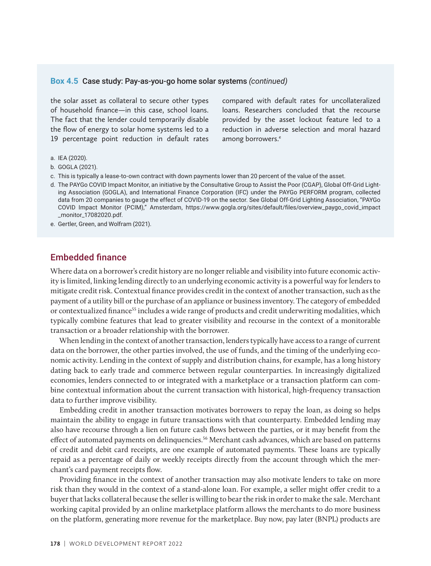#### **Box 4.5** Case study: Pay-as-you-go home solar systems *(continued)*

the solar asset as collateral to secure other types of household finance—in this case, school loans. The fact that the lender could temporarily disable the flow of energy to solar home systems led to a 19 percentage point reduction in default rates compared with default rates for uncollateralized loans. Researchers concluded that the recourse provided by the asset lockout feature led to a reduction in adverse selection and moral hazard among borrowers.<sup>e</sup>

- a. IEA (2020).
- b. GOGLA (2021).
- c. This is typically a lease-to-own contract with down payments lower than 20 percent of the value of the asset.
- d. The PAYGo COVID Impact Monitor, an initiative by the Consultative Group to Assist the Poor (CGAP), Global Off-Grid Lighting Association (GOGLA), and International Finance Corporation (IFC) under the PAYGo PERFORM program, collected data from 20 companies to gauge the effect of COVID-19 on the sector. See Global Off-Grid Lighting Association, "PAYGo COVID Impact Monitor (PCIM)," Amsterdam, https://www.gogla.org/sites/default/files/overview\_paygo\_covid\_impact \_monitor\_17082020.pdf.
- e. Gertler, Green, and Wolfram (2021).

## Embedded finance

Where data on a borrower's credit history are no longer reliable and visibility into future economic activity is limited, linking lending directly to an underlying economic activity is a powerful way for lenders to mitigate credit risk. Contextual finance provides credit in the context of another transaction, such as the payment of a utility bill or the purchase of an appliance or business inventory. The category of embedded or contextualized finance<sup>55</sup> includes a wide range of products and credit underwriting modalities, which typically combine features that lead to greater visibility and recourse in the context of a monitorable transaction or a broader relationship with the borrower.

When lending in the context of another transaction, lenders typically have access to a range of current data on the borrower, the other parties involved, the use of funds, and the timing of the underlying economic activity. Lending in the context of supply and distribution chains, for example, has a long history dating back to early trade and commerce between regular counterparties. In increasingly digitalized economies, lenders connected to or integrated with a marketplace or a transaction platform can combine contextual information about the current transaction with historical, high-frequency transaction data to further improve visibility.

Embedding credit in another transaction motivates borrowers to repay the loan, as doing so helps maintain the ability to engage in future transactions with that counterparty. Embedded lending may also have recourse through a lien on future cash flows between the parties, or it may benefit from the effect of automated payments on delinquencies.<sup>56</sup> Merchant cash advances, which are based on patterns of credit and debit card receipts, are one example of automated payments. These loans are typically repaid as a percentage of daily or weekly receipts directly from the account through which the merchant's card payment receipts flow.

Providing finance in the context of another transaction may also motivate lenders to take on more risk than they would in the context of a stand-alone loan. For example, a seller might offer credit to a buyer that lacks collateral because the seller is willing to bear the risk in order to make the sale. Merchant working capital provided by an online marketplace platform allows the merchants to do more business on the platform, generating more revenue for the marketplace. Buy now, pay later (BNPL) products are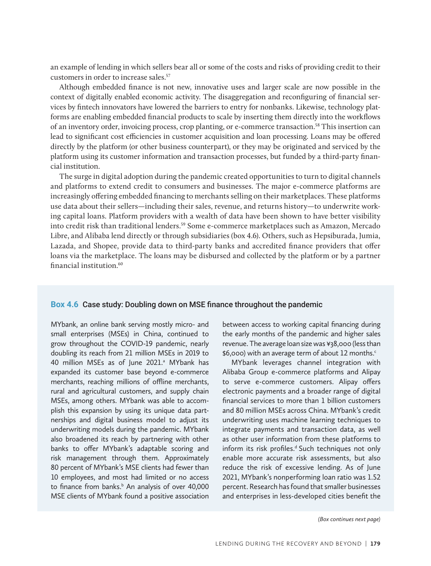an example of lending in which sellers bear all or some of the costs and risks of providing credit to their customers in order to increase sales.57

Although embedded finance is not new, innovative uses and larger scale are now possible in the context of digitally enabled economic activity. The disaggregation and reconfiguring of financial services by fintech innovators have lowered the barriers to entry for nonbanks. Likewise, technology platforms are enabling embedded financial products to scale by inserting them directly into the workflows of an inventory order, invoicing process, crop planting, or e-commerce transaction.58 This insertion can lead to significant cost efficiencies in customer acquisition and loan processing. Loans may be offered directly by the platform (or other business counterpart), or they may be originated and serviced by the platform using its customer information and transaction processes, but funded by a third-party financial institution.

The surge in digital adoption during the pandemic created opportunities to turn to digital channels and platforms to extend credit to consumers and businesses. The major e-commerce platforms are increasingly offering embedded financing to merchants selling on their marketplaces. These platforms use data about their sellers—including their sales, revenue, and returns history—to underwrite working capital loans. Platform providers with a wealth of data have been shown to have better visibility into credit risk than traditional lenders.<sup>59</sup> Some e-commerce marketplaces such as Amazon, Mercado Libre, and Alibaba lend directly or through subsidiaries (box 4.6). Others, such as Hepsiburada, Jumia, Lazada, and Shopee, provide data to third-party banks and accredited finance providers that offer loans via the marketplace. The loans may be disbursed and collected by the platform or by a partner financial institution.60

## **Box 4.6** Case study: Doubling down on MSE finance throughout the pandemic

MYbank, an online bank serving mostly micro- and small enterprises (MSEs) in China, continued to grow throughout the COVID-19 pandemic, nearly doubling its reach from 21 million MSEs in 2019 to 40 million MSEs as of June 2021.<sup>a</sup> MYbank has expanded its customer base beyond e-commerce merchants, reaching millions of offline merchants, rural and agricultural customers, and supply chain MSEs, among others. MYbank was able to accomplish this expansion by using its unique data partnerships and digital business model to adjust its underwriting models during the pandemic. MYbank also broadened its reach by partnering with other banks to offer MYbank's adaptable scoring and risk management through them. Approximately 80 percent of MYbank's MSE clients had fewer than 10 employees, and most had limited or no access to finance from banks.<sup>b</sup> An analysis of over 40,000 MSE clients of MYbank found a positive association

between access to working capital financing during the early months of the pandemic and higher sales revenue. The average loan size was ¥38,000 (less than \$6,000) with an average term of about 12 months.<sup>c</sup>

MYbank leverages channel integration with Alibaba Group e-commerce platforms and Alipay to serve e-commerce customers. Alipay offers electronic payments and a broader range of digital financial services to more than 1 billion customers and 80 million MSEs across China. MYbank's credit underwriting uses machine learning techniques to integrate payments and transaction data, as well as other user information from these platforms to inform its risk profiles.<sup>d</sup> Such techniques not only enable more accurate risk assessments, but also reduce the risk of excessive lending. As of June 2021, MYbank's nonperforming loan ratio was 1.52 percent. Research has found that smaller businesses and enterprises in less-developed cities benefit the

*(Box continues next page)*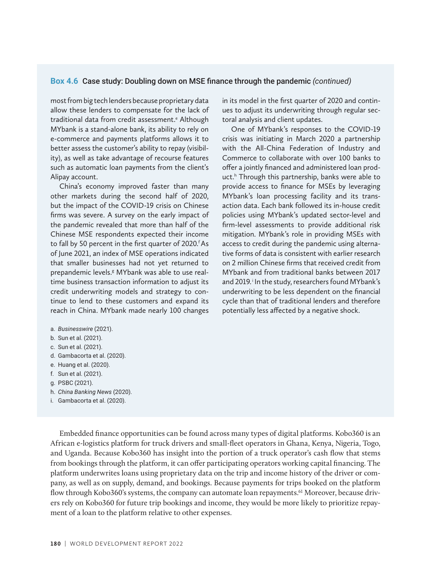#### **Box 4.6** Case study: Doubling down on MSE finance through the pandemic *(continued)*

most from big tech lenders because proprietary data allow these lenders to compensate for the lack of traditional data from credit assessment.<sup>e</sup> Although MYbank is a stand-alone bank, its ability to rely on e-commerce and payments platforms allows it to better assess the customer's ability to repay (visibility), as well as take advantage of recourse features such as automatic loan payments from the client's Alipay account.

China's economy improved faster than many other markets during the second half of 2020, but the impact of the COVID-19 crisis on Chinese firms was severe. A survey on the early impact of the pandemic revealed that more than half of the Chinese MSE respondents expected their income to fall by 50 percent in the first quarter of 2020.<sup>f</sup> As of June 2021, an index of MSE operations indicated that smaller businesses had not yet returned to prepandemic levels.<sup>g</sup> MYbank was able to use realtime business transaction information to adjust its credit underwriting models and strategy to continue to lend to these customers and expand its reach in China. MYbank made nearly 100 changes

- a. *Businesswire* (2021).
- b. Sun et al. (2021).
- c. Sun et al. (2021).
- d. Gambacorta et al. (2020).
- e. Huang et al. (2020).
- f. Sun et al. (2021).
- g. PSBC (2021).
- h. *China Banking News* (2020).
- i. Gambacorta et al. (2020).

Embedded finance opportunities can be found across many types of digital platforms. Kobo360 is an African e-logistics platform for truck drivers and small-fleet operators in Ghana, Kenya, Nigeria, Togo, and Uganda. Because Kobo360 has insight into the portion of a truck operator's cash flow that stems from bookings through the platform, it can offer participating operators working capital financing. The platform underwrites loans using proprietary data on the trip and income history of the driver or company, as well as on supply, demand, and bookings. Because payments for trips booked on the platform flow through Kobo360's systems, the company can automate loan repayments.<sup>61</sup> Moreover, because drivers rely on Kobo360 for future trip bookings and income, they would be more likely to prioritize repayment of a loan to the platform relative to other expenses.

in its model in the first quarter of 2020 and continues to adjust its underwriting through regular sectoral analysis and client updates.

One of MYbank's responses to the COVID-19 crisis was initiating in March 2020 a partnership with the All-China Federation of Industry and Commerce to collaborate with over 100 banks to offer a jointly financed and administered loan product.<sup>h</sup> Through this partnership, banks were able to provide access to finance for MSEs by leveraging MYbank's loan processing facility and its transaction data. Each bank followed its in-house credit policies using MYbank's updated sector-level and firm-level assessments to provide additional risk mitigation. MYbank's role in providing MSEs with access to credit during the pandemic using alternative forms of data is consistent with earlier research on 2 million Chinese firms that received credit from MYbank and from traditional banks between 2017 and 2019. In the study, researchers found MYbank's underwriting to be less dependent on the financial cycle than that of traditional lenders and therefore potentially less affected by a negative shock.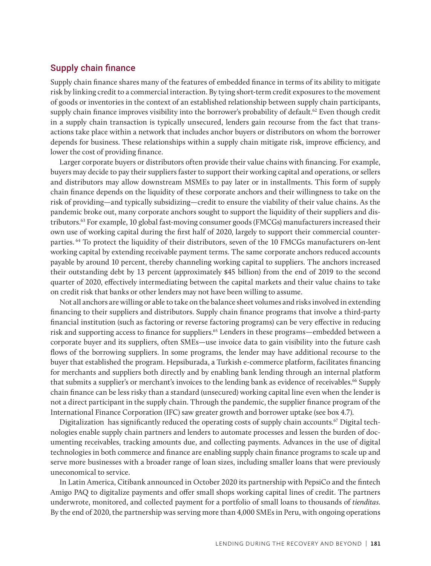## Supply chain finance

Supply chain finance shares many of the features of embedded finance in terms of its ability to mitigate risk by linking credit to a commercial interaction. By tying short-term credit exposures to the movement of goods or inventories in the context of an established relationship between supply chain participants, supply chain finance improves visibility into the borrower's probability of default.<sup>62</sup> Even though credit in a supply chain transaction is typically unsecured, lenders gain recourse from the fact that transactions take place within a network that includes anchor buyers or distributors on whom the borrower depends for business. These relationships within a supply chain mitigate risk, improve efficiency, and lower the cost of providing finance.

Larger corporate buyers or distributors often provide their value chains with financing. For example, buyers may decide to pay their suppliers faster to support their working capital and operations, or sellers and distributors may allow downstream MSMEs to pay later or in installments. This form of supply chain finance depends on the liquidity of these corporate anchors and their willingness to take on the risk of providing—and typically subsidizing—credit to ensure the viability of their value chains. As the pandemic broke out, many corporate anchors sought to support the liquidity of their suppliers and distributors.63 For example, 10 global fast-moving consumer goods (FMCGs) manufacturers increased their own use of working capital during the first half of 2020, largely to support their commercial counterparties. 64 To protect the liquidity of their distributors, seven of the 10 FMCGs manufacturers on-lent working capital by extending receivable payment terms. The same corporate anchors reduced accounts payable by around 10 percent, thereby channeling working capital to suppliers. The anchors increased their outstanding debt by 13 percent (approximately \$45 billion) from the end of 2019 to the second quarter of 2020, effectively intermediating between the capital markets and their value chains to take on credit risk that banks or other lenders may not have been willing to assume.

Not all anchors are willing or able to take on the balance sheet volumes and risks involved in extending financing to their suppliers and distributors. Supply chain finance programs that involve a third-party financial institution (such as factoring or reverse factoring programs) can be very effective in reducing risk and supporting access to finance for suppliers.<sup>65</sup> Lenders in these programs—embedded between a corporate buyer and its suppliers, often SMEs—use invoice data to gain visibility into the future cash flows of the borrowing suppliers. In some programs, the lender may have additional recourse to the buyer that established the program. Hepsiburada, a Turkish e-commerce platform, facilitates financing for merchants and suppliers both directly and by enabling bank lending through an internal platform that submits a supplier's or merchant's invoices to the lending bank as evidence of receivables.<sup>66</sup> Supply chain finance can be less risky than a standard (unsecured) working capital line even when the lender is not a direct participant in the supply chain. Through the pandemic, the supplier finance program of the International Finance Corporation (IFC) saw greater growth and borrower uptake (see box 4.7).

Digitalization has significantly reduced the operating costs of supply chain accounts.<sup>67</sup> Digital technologies enable supply chain partners and lenders to automate processes and lessen the burden of documenting receivables, tracking amounts due, and collecting payments. Advances in the use of digital technologies in both commerce and finance are enabling supply chain finance programs to scale up and serve more businesses with a broader range of loan sizes, including smaller loans that were previously uneconomical to service.

In Latin America, Citibank announced in October 2020 its partnership with PepsiCo and the fintech Amigo PAQ to digitalize payments and offer small shops working capital lines of credit. The partners underwrote, monitored, and collected payment for a portfolio of small loans to thousands of *tienditas*. By the end of 2020, the partnership was serving more than 4,000 SMEs in Peru, with ongoing operations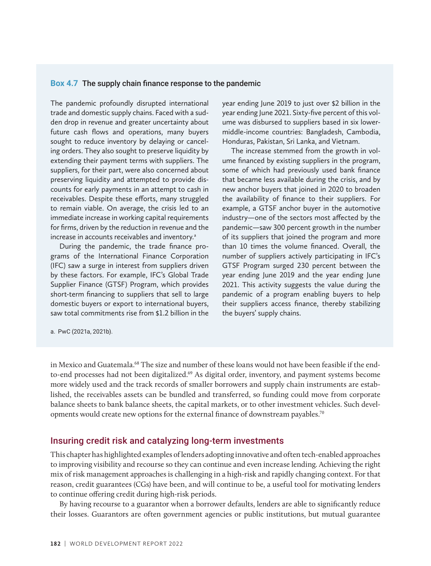### **Box 4.7** The supply chain finance response to the pandemic

The pandemic profoundly disrupted international trade and domestic supply chains. Faced with a sudden drop in revenue and greater uncertainty about future cash flows and operations, many buyers sought to reduce inventory by delaying or canceling orders. They also sought to preserve liquidity by extending their payment terms with suppliers. The suppliers, for their part, were also concerned about preserving liquidity and attempted to provide discounts for early payments in an attempt to cash in receivables. Despite these efforts, many struggled to remain viable. On average, the crisis led to an immediate increase in working capital requirements for firms, driven by the reduction in revenue and the increase in accounts receivables and inventory.<sup>a</sup>

During the pandemic, the trade finance programs of the International Finance Corporation (IFC) saw a surge in interest from suppliers driven by these factors. For example, IFC's Global Trade Supplier Finance (GTSF) Program, which provides short-term financing to suppliers that sell to large domestic buyers or export to international buyers, saw total commitments rise from \$1.2 billion in the

year ending June 2019 to just over \$2 billion in the year ending June 2021. Sixty-five percent of this volume was disbursed to suppliers based in six lowermiddle-income countries: Bangladesh, Cambodia, Honduras, Pakistan, Sri Lanka, and Vietnam.

The increase stemmed from the growth in volume financed by existing suppliers in the program, some of which had previously used bank finance that became less available during the crisis, and by new anchor buyers that joined in 2020 to broaden the availability of finance to their suppliers. For example, a GTSF anchor buyer in the automotive industry—one of the sectors most affected by the pandemic—saw 300 percent growth in the number of its suppliers that joined the program and more than 10 times the volume financed. Overall, the number of suppliers actively participating in IFC's GTSF Program surged 230 percent between the year ending June 2019 and the year ending June 2021. This activity suggests the value during the pandemic of a program enabling buyers to help their suppliers access finance, thereby stabilizing the buyers' supply chains.

a. PwC (2021a, 2021b).

in Mexico and Guatemala.<sup>68</sup> The size and number of these loans would not have been feasible if the endto-end processes had not been digitalized.<sup>69</sup> As digital order, inventory, and payment systems become more widely used and the track records of smaller borrowers and supply chain instruments are established, the receivables assets can be bundled and transferred, so funding could move from corporate balance sheets to bank balance sheets, the capital markets, or to other investment vehicles. Such developments would create new options for the external finance of downstream payables.<sup>70</sup>

## Insuring credit risk and catalyzing long-term investments

This chapter has highlighted examples of lenders adopting innovative and often tech-enabled approaches to improving visibility and recourse so they can continue and even increase lending. Achieving the right mix of risk management approaches is challenging in a high-risk and rapidly changing context. For that reason, credit guarantees (CGs) have been, and will continue to be, a useful tool for motivating lenders to continue offering credit during high-risk periods.

By having recourse to a guarantor when a borrower defaults, lenders are able to significantly reduce their losses. Guarantors are often government agencies or public institutions, but mutual guarantee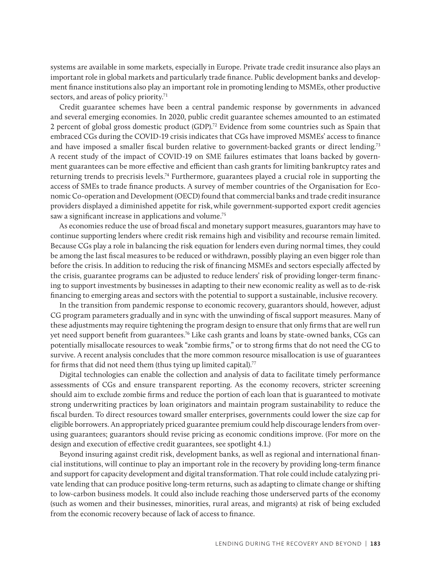systems are available in some markets, especially in Europe. Private trade credit insurance also plays an important role in global markets and particularly trade finance. Public development banks and development finance institutions also play an important role in promoting lending to MSMEs, other productive sectors, and areas of policy priority.<sup>71</sup>

Credit guarantee schemes have been a central pandemic response by governments in advanced and several emerging economies. In 2020, public credit guarantee schemes amounted to an estimated 2 percent of global gross domestic product (GDP).72 Evidence from some countries such as Spain that embraced CGs during the COVID-19 crisis indicates that CGs have improved MSMEs' access to finance and have imposed a smaller fiscal burden relative to government-backed grants or direct lending.73 A recent study of the impact of COVID-19 on SME failures estimates that loans backed by government guarantees can be more effective and efficient than cash grants for limiting bankruptcy rates and returning trends to precrisis levels.74 Furthermore, guarantees played a crucial role in supporting the access of SMEs to trade finance products. A survey of member countries of the Organisation for Economic Co-operation and Development (OECD) found that commercial banks and trade credit insurance providers displayed a diminished appetite for risk, while government-supported export credit agencies saw a significant increase in applications and volume.<sup>75</sup>

As economies reduce the use of broad fiscal and monetary support measures, guarantors may have to continue supporting lenders where credit risk remains high and visibility and recourse remain limited. Because CGs play a role in balancing the risk equation for lenders even during normal times, they could be among the last fiscal measures to be reduced or withdrawn, possibly playing an even bigger role than before the crisis. In addition to reducing the risk of financing MSMEs and sectors especially affected by the crisis, guarantee programs can be adjusted to reduce lenders' risk of providing longer-term financing to support investments by businesses in adapting to their new economic reality as well as to de-risk financing to emerging areas and sectors with the potential to support a sustainable, inclusive recovery.

In the transition from pandemic response to economic recovery, guarantors should, however, adjust CG program parameters gradually and in sync with the unwinding of fiscal support measures. Many of these adjustments may require tightening the program design to ensure that only firms that are well run yet need support benefit from guarantees.76 Like cash grants and loans by state-owned banks, CGs can potentially misallocate resources to weak "zombie firms," or to strong firms that do not need the CG to survive. A recent analysis concludes that the more common resource misallocation is use of guarantees for firms that did not need them (thus tying up limited capital).<sup>77</sup>

Digital technologies can enable the collection and analysis of data to facilitate timely performance assessments of CGs and ensure transparent reporting. As the economy recovers, stricter screening should aim to exclude zombie firms and reduce the portion of each loan that is guaranteed to motivate strong underwriting practices by loan originators and maintain program sustainability to reduce the fiscal burden. To direct resources toward smaller enterprises, governments could lower the size cap for eligible borrowers. An appropriately priced guarantee premium could help discourage lenders from overusing guarantees; guarantors should revise pricing as economic conditions improve. (For more on the design and execution of effective credit guarantees, see spotlight 4.1.)

Beyond insuring against credit risk, development banks, as well as regional and international financial institutions, will continue to play an important role in the recovery by providing long-term finance and support for capacity development and digital transformation. That role could include catalyzing private lending that can produce positive long-term returns, such as adapting to climate change or shifting to low-carbon business models. It could also include reaching those underserved parts of the economy (such as women and their businesses, minorities, rural areas, and migrants) at risk of being excluded from the economic recovery because of lack of access to finance.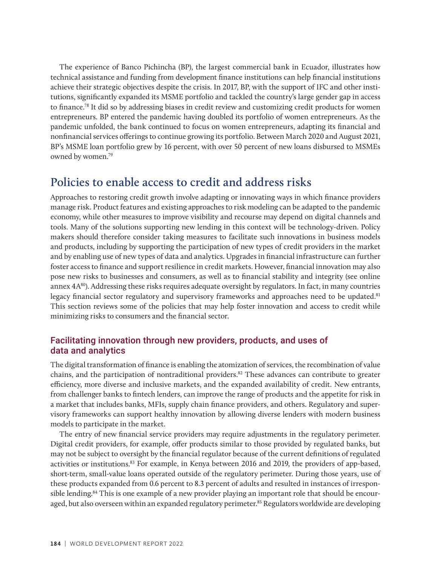The experience of Banco Pichincha (BP), the largest commercial bank in Ecuador, illustrates how technical assistance and funding from development finance institutions can help financial institutions achieve their strategic objectives despite the crisis. In 2017, BP, with the support of IFC and other institutions, significantly expanded its MSME portfolio and tackled the country's large gender gap in access to finance.78 It did so by addressing biases in credit review and customizing credit products for women entrepreneurs. BP entered the pandemic having doubled its portfolio of women entrepreneurs. As the pandemic unfolded, the bank continued to focus on women entrepreneurs, adapting its financial and nonfinancial services offerings to continue growing its portfolio. Between March 2020 and August 2021, BP's MSME loan portfolio grew by 16 percent, with over 50 percent of new loans disbursed to MSMEs owned by women.<sup>79</sup>

# **Policies to enable access to credit and address risks**

Approaches to restoring credit growth involve adapting or innovating ways in which finance providers manage risk. Product features and existing approaches to risk modeling can be adapted to the pandemic economy, while other measures to improve visibility and recourse may depend on digital channels and tools. Many of the solutions supporting new lending in this context will be technology-driven. Policy makers should therefore consider taking measures to facilitate such innovations in business models and products, including by supporting the participation of new types of credit providers in the market and by enabling use of new types of data and analytics. Upgrades in financial infrastructure can further foster access to finance and support resilience in credit markets. However, financial innovation may also pose new risks to businesses and consumers, as well as to financial stability and integrity (see online annex 4A80). Addressing these risks requires adequate oversight by regulators. In fact, in many countries legacy financial sector regulatory and supervisory frameworks and approaches need to be updated.<sup>81</sup> This section reviews some of the policies that may help foster innovation and access to credit while minimizing risks to consumers and the financial sector.

## Facilitating innovation through new providers, products, and uses of data and analytics

The digital transformation of finance is enabling the atomization of services, the recombination of value chains, and the participation of nontraditional providers.<sup>82</sup> These advances can contribute to greater efficiency, more diverse and inclusive markets, and the expanded availability of credit. New entrants, from challenger banks to fintech lenders, can improve the range of products and the appetite for risk in a market that includes banks, MFIs, supply chain finance providers, and others. Regulatory and supervisory frameworks can support healthy innovation by allowing diverse lenders with modern business models to participate in the market.

The entry of new financial service providers may require adjustments in the regulatory perimeter. Digital credit providers, for example, offer products similar to those provided by regulated banks, but may not be subject to oversight by the financial regulator because of the current definitions of regulated activities or institutions.83 For example, in Kenya between 2016 and 2019, the providers of app-based, short-term, small-value loans operated outside of the regulatory perimeter. During those years, use of these products expanded from 0.6 percent to 8.3 percent of adults and resulted in instances of irresponsible lending.<sup>84</sup> This is one example of a new provider playing an important role that should be encouraged, but also overseen within an expanded regulatory perimeter.<sup>85</sup> Regulators worldwide are developing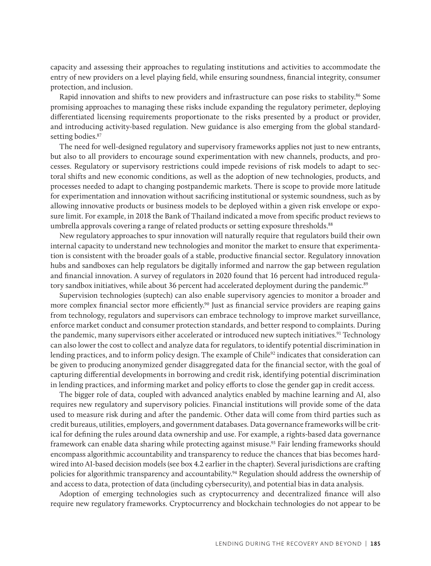capacity and assessing their approaches to regulating institutions and activities to accommodate the entry of new providers on a level playing field, while ensuring soundness, financial integrity, consumer protection, and inclusion.

Rapid innovation and shifts to new providers and infrastructure can pose risks to stability.<sup>86</sup> Some promising approaches to managing these risks include expanding the regulatory perimeter, deploying differentiated licensing requirements proportionate to the risks presented by a product or provider, and introducing activity-based regulation. New guidance is also emerging from the global standardsetting bodies.<sup>87</sup>

The need for well-designed regulatory and supervisory frameworks applies not just to new entrants, but also to all providers to encourage sound experimentation with new channels, products, and processes. Regulatory or supervisory restrictions could impede revisions of risk models to adapt to sectoral shifts and new economic conditions, as well as the adoption of new technologies, products, and processes needed to adapt to changing postpandemic markets. There is scope to provide more latitude for experimentation and innovation without sacrificing institutional or systemic soundness, such as by allowing innovative products or business models to be deployed within a given risk envelope or exposure limit. For example, in 2018 the Bank of Thailand indicated a move from specific product reviews to umbrella approvals covering a range of related products or setting exposure thresholds.<sup>88</sup>

New regulatory approaches to spur innovation will naturally require that regulators build their own internal capacity to understand new technologies and monitor the market to ensure that experimentation is consistent with the broader goals of a stable, productive financial sector. Regulatory innovation hubs and sandboxes can help regulators be digitally informed and narrow the gap between regulation and financial innovation. A survey of regulators in 2020 found that 16 percent had introduced regulatory sandbox initiatives, while about 36 percent had accelerated deployment during the pandemic.<sup>89</sup>

Supervision technologies (suptech) can also enable supervisory agencies to monitor a broader and more complex financial sector more efficiently.<sup>90</sup> Just as financial service providers are reaping gains from technology, regulators and supervisors can embrace technology to improve market surveillance, enforce market conduct and consumer protection standards, and better respond to complaints. During the pandemic, many supervisors either accelerated or introduced new suptech initiatives.<sup>91</sup> Technology can also lower the cost to collect and analyze data for regulators, to identify potential discrimination in lending practices, and to inform policy design. The example of Chile<sup>92</sup> indicates that consideration can be given to producing anonymized gender disaggregated data for the financial sector, with the goal of capturing differential developments in borrowing and credit risk, identifying potential discrimination in lending practices, and informing market and policy efforts to close the gender gap in credit access.

The bigger role of data, coupled with advanced analytics enabled by machine learning and AI, also requires new regulatory and supervisory policies. Financial institutions will provide some of the data used to measure risk during and after the pandemic. Other data will come from third parties such as credit bureaus, utilities, employers, and government databases. Data governance frameworks will be critical for defining the rules around data ownership and use. For example, a rights-based data governance framework can enable data sharing while protecting against misuse.<sup>93</sup> Fair lending frameworks should encompass algorithmic accountability and transparency to reduce the chances that bias becomes hardwired into AI-based decision models (see box 4.2 earlier in the chapter). Several jurisdictions are crafting policies for algorithmic transparency and accountability.94 Regulation should address the ownership of and access to data, protection of data (including cybersecurity), and potential bias in data analysis.

Adoption of emerging technologies such as cryptocurrency and decentralized finance will also require new regulatory frameworks. Cryptocurrency and blockchain technologies do not appear to be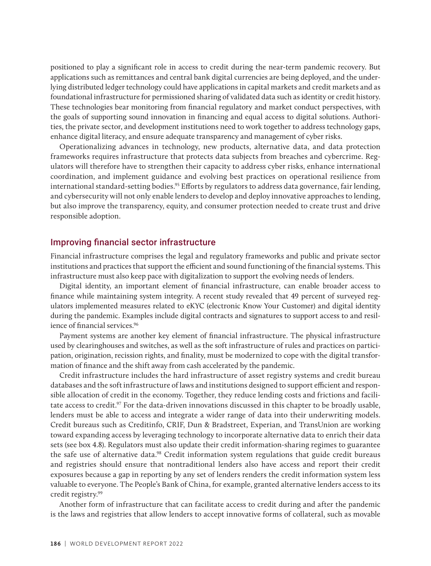positioned to play a significant role in access to credit during the near-term pandemic recovery. But applications such as remittances and central bank digital currencies are being deployed, and the underlying distributed ledger technology could have applications in capital markets and credit markets and as foundational infrastructure for permissioned sharing of validated data such as identity or credit history. These technologies bear monitoring from financial regulatory and market conduct perspectives, with the goals of supporting sound innovation in financing and equal access to digital solutions. Authorities, the private sector, and development institutions need to work together to address technology gaps, enhance digital literacy, and ensure adequate transparency and management of cyber risks.

Operationalizing advances in technology, new products, alternative data, and data protection frameworks requires infrastructure that protects data subjects from breaches and cybercrime. Regulators will therefore have to strengthen their capacity to address cyber risks, enhance international coordination, and implement guidance and evolving best practices on operational resilience from international standard-setting bodies.<sup>95</sup> Efforts by regulators to address data governance, fair lending, and cybersecurity will not only enable lenders to develop and deploy innovative approaches to lending, but also improve the transparency, equity, and consumer protection needed to create trust and drive responsible adoption.

## Improving financial sector infrastructure

Financial infrastructure comprises the legal and regulatory frameworks and public and private sector institutions and practices that support the efficient and sound functioning of the financial systems. This infrastructure must also keep pace with digitalization to support the evolving needs of lenders.

Digital identity, an important element of financial infrastructure, can enable broader access to finance while maintaining system integrity. A recent study revealed that 49 percent of surveyed regulators implemented measures related to eKYC (electronic Know Your Customer) and digital identity during the pandemic. Examples include digital contracts and signatures to support access to and resilience of financial services.<sup>96</sup>

Payment systems are another key element of financial infrastructure. The physical infrastructure used by clearinghouses and switches, as well as the soft infrastructure of rules and practices on participation, origination, recission rights, and finality, must be modernized to cope with the digital transformation of finance and the shift away from cash accelerated by the pandemic.

Credit infrastructure includes the hard infrastructure of asset registry systems and credit bureau databases and the soft infrastructure of laws and institutions designed to support efficient and responsible allocation of credit in the economy. Together, they reduce lending costs and frictions and facilitate access to credit.<sup>97</sup> For the data-driven innovations discussed in this chapter to be broadly usable, lenders must be able to access and integrate a wider range of data into their underwriting models. Credit bureaus such as Creditinfo, CRIF, Dun & Bradstreet, Experian, and TransUnion are working toward expanding access by leveraging technology to incorporate alternative data to enrich their data sets (see box 4.8). Regulators must also update their credit information-sharing regimes to guarantee the safe use of alternative data.<sup>98</sup> Credit information system regulations that guide credit bureaus and registries should ensure that nontraditional lenders also have access and report their credit exposures because a gap in reporting by any set of lenders renders the credit information system less valuable to everyone. The People's Bank of China, for example, granted alternative lenders access to its credit registry.99

Another form of infrastructure that can facilitate access to credit during and after the pandemic is the laws and registries that allow lenders to accept innovative forms of collateral, such as movable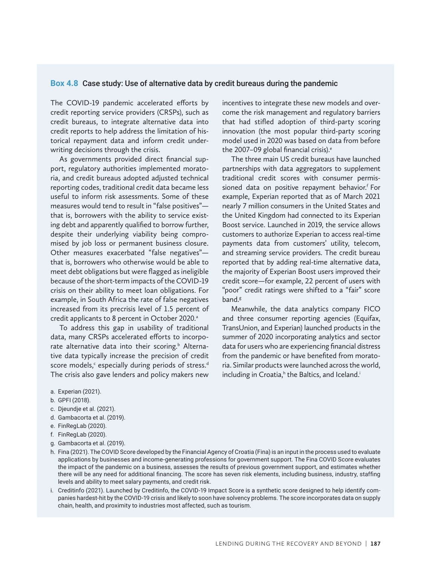## **Box 4.8** Case study: Use of alternative data by credit bureaus during the pandemic

The COVID-19 pandemic accelerated efforts by credit reporting service providers (CRSPs), such as credit bureaus, to integrate alternative data into credit reports to help address the limitation of historical repayment data and inform credit underwriting decisions through the crisis.

As governments provided direct financial support, regulatory authorities implemented moratoria, and credit bureaus adopted adjusted technical reporting codes, traditional credit data became less useful to inform risk assessments. Some of these measures would tend to result in "false positives" that is, borrowers with the ability to service existing debt and apparently qualified to borrow further, despite their underlying viability being compromised by job loss or permanent business closure. Other measures exacerbated "false negatives" that is, borrowers who otherwise would be able to meet debt obligations but were flagged as ineligible because of the short-term impacts of the COVID-19 crisis on their ability to meet loan obligations. For example, in South Africa the rate of false negatives increased from its precrisis level of 1.5 percent of credit applicants to 8 percent in October 2020.<sup>a</sup>

To address this gap in usability of traditional data, many CRSPs accelerated efforts to incorporate alternative data into their scoring.<sup>b</sup> Alternative data typically increase the precision of credit score models, $c$  especially during periods of stress.<sup>d</sup> The crisis also gave lenders and policy makers new

incentives to integrate these new models and overcome the risk management and regulatory barriers that had stifled adoption of third-party scoring innovation (the most popular third-party scoring model used in 2020 was based on data from before the 2007–09 global financial crisis).<sup>e</sup>

The three main US credit bureaus have launched partnerships with data aggregators to supplement traditional credit scores with consumer permissioned data on positive repayment behavior.<sup>f</sup> For example, Experian reported that as of March 2021 nearly 7 million consumers in the United States and the United Kingdom had connected to its Experian Boost service. Launched in 2019, the service allows customers to authorize Experian to access real-time payments data from customers' utility, telecom, and streaming service providers. The credit bureau reported that by adding real-time alternative data, the majority of Experian Boost users improved their credit score—for example, 22 percent of users with "poor" credit ratings were shifted to a "fair" score band.g

Meanwhile, the data analytics company FICO and three consumer reporting agencies (Equifax, TransUnion, and Experian) launched products in the summer of 2020 incorporating analytics and sector data for users who are experiencing financial distress from the pandemic or have benefited from moratoria. Similar products were launched across the world, including in Croatia,<sup>h</sup> the Baltics, and Iceland.<sup>i</sup>

- a. Experian (2021).
- b. GPFI (2018).
- c. Djeundje et al. (2021).
- d. Gambacorta et al. (2019).
- e. FinRegLab (2020).
- f. FinRegLab (2020).
- g. Gambacorta et al. (2019).
- h. Fina (2021). The COVID Score developed by the Financial Agency of Croatia (Fina) is an input in the process used to evaluate applications by businesses and income-generating professions for government support. The Fina COVID Score evaluates the impact of the pandemic on a business, assesses the results of previous government support, and estimates whether there will be any need for additional financing. The score has seven risk elements, including business, industry, staffing levels and ability to meet salary payments, and credit risk.
- i. Creditinfo (2021). Launched by Creditinfo, the COVID-19 Impact Score is a synthetic score designed to help identify companies hardest-hit by the COVID-19 crisis and likely to soon have solvency problems. The score incorporates data on supply chain, health, and proximity to industries most affected, such as tourism.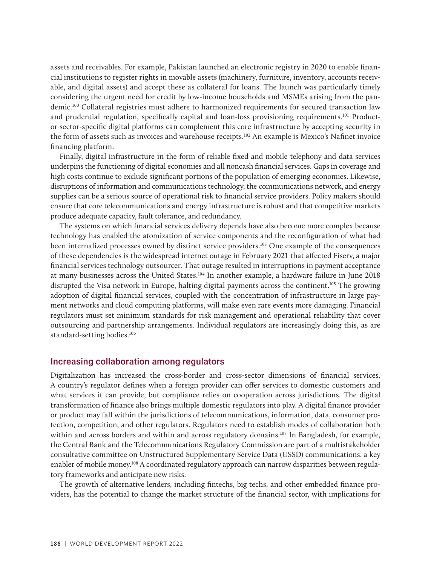assets and receivables. For example, Pakistan launched an electronic registry in 2020 to enable financial institutions to register rights in movable assets (machinery, furniture, inventory, accounts receivable, and digital assets) and accept these as collateral for loans. The launch was particularly timely considering the urgent need for credit by low-income households and MSMEs arising from the pandemic.100 Collateral registries must adhere to harmonized requirements for secured transaction law and prudential regulation, specifically capital and loan-loss provisioning requirements.101 Productor sector-specific digital platforms can complement this core infrastructure by accepting security in the form of assets such as invoices and warehouse receipts.<sup>102</sup> An example is Mexico's Nafinet invoice financing platform.

Finally, digital infrastructure in the form of reliable fixed and mobile telephony and data services underpins the functioning of digital economies and all noncash financial services. Gaps in coverage and high costs continue to exclude significant portions of the population of emerging economies. Likewise, disruptions of information and communications technology, the communications network, and energy supplies can be a serious source of operational risk to financial service providers. Policy makers should ensure that core telecommunications and energy infrastructure is robust and that competitive markets produce adequate capacity, fault tolerance, and redundancy.

The systems on which financial services delivery depends have also become more complex because technology has enabled the atomization of service components and the reconfiguration of what had been internalized processes owned by distinct service providers.103 One example of the consequences of these dependencies is the widespread internet outage in February 2021 that affected Fiserv, a major financial services technology outsourcer. That outage resulted in interruptions in payment acceptance at many businesses across the United States.104 In another example, a hardware failure in June 2018 disrupted the Visa network in Europe, halting digital payments across the continent.105 The growing adoption of digital financial services, coupled with the concentration of infrastructure in large payment networks and cloud computing platforms, will make even rare events more damaging. Financial regulators must set minimum standards for risk management and operational reliability that cover outsourcing and partnership arrangements. Individual regulators are increasingly doing this, as are standard-setting bodies.<sup>106</sup>

## Increasing collaboration among regulators

Digitalization has increased the cross-border and cross-sector dimensions of financial services. A country's regulator defines when a foreign provider can offer services to domestic customers and what services it can provide, but compliance relies on cooperation across jurisdictions. The digital transformation of finance also brings multiple domestic regulators into play. A digital finance provider or product may fall within the jurisdictions of telecommunications, information, data, consumer protection, competition, and other regulators. Regulators need to establish modes of collaboration both within and across borders and within and across regulatory domains.<sup>107</sup> In Bangladesh, for example, the Central Bank and the Telecommunications Regulatory Commission are part of a multistakeholder consultative committee on Unstructured Supplementary Service Data (USSD) communications, a key enabler of mobile money.108 A coordinated regulatory approach can narrow disparities between regulatory frameworks and anticipate new risks.

The growth of alternative lenders, including fintechs, big techs, and other embedded finance providers, has the potential to change the market structure of the financial sector, with implications for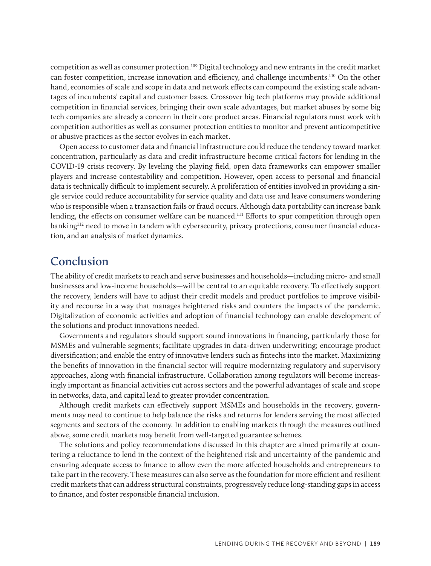competition as well as consumer protection.109 Digital technology and new entrants in the credit market can foster competition, increase innovation and efficiency, and challenge incumbents.110 On the other hand, economies of scale and scope in data and network effects can compound the existing scale advantages of incumbents' capital and customer bases. Crossover big tech platforms may provide additional competition in financial services, bringing their own scale advantages, but market abuses by some big tech companies are already a concern in their core product areas. Financial regulators must work with competition authorities as well as consumer protection entities to monitor and prevent anticompetitive or abusive practices as the sector evolves in each market.

Open access to customer data and financial infrastructure could reduce the tendency toward market concentration, particularly as data and credit infrastructure become critical factors for lending in the COVID-19 crisis recovery. By leveling the playing field, open data frameworks can empower smaller players and increase contestability and competition. However, open access to personal and financial data is technically difficult to implement securely. A proliferation of entities involved in providing a single service could reduce accountability for service quality and data use and leave consumers wondering who is responsible when a transaction fails or fraud occurs. Although data portability can increase bank lending, the effects on consumer welfare can be nuanced.<sup>111</sup> Efforts to spur competition through open banking<sup>112</sup> need to move in tandem with cybersecurity, privacy protections, consumer financial education, and an analysis of market dynamics.

# **Conclusion**

The ability of credit markets to reach and serve businesses and households—including micro- and small businesses and low-income households—will be central to an equitable recovery. To effectively support the recovery, lenders will have to adjust their credit models and product portfolios to improve visibility and recourse in a way that manages heightened risks and counters the impacts of the pandemic. Digitalization of economic activities and adoption of financial technology can enable development of the solutions and product innovations needed.

Governments and regulators should support sound innovations in financing, particularly those for MSMEs and vulnerable segments; facilitate upgrades in data-driven underwriting; encourage product diversification; and enable the entry of innovative lenders such as fintechs into the market. Maximizing the benefits of innovation in the financial sector will require modernizing regulatory and supervisory approaches, along with financial infrastructure. Collaboration among regulators will become increasingly important as financial activities cut across sectors and the powerful advantages of scale and scope in networks, data, and capital lead to greater provider concentration.

Although credit markets can effectively support MSMEs and households in the recovery, governments may need to continue to help balance the risks and returns for lenders serving the most affected segments and sectors of the economy. In addition to enabling markets through the measures outlined above, some credit markets may benefit from well-targeted guarantee schemes.

The solutions and policy recommendations discussed in this chapter are aimed primarily at countering a reluctance to lend in the context of the heightened risk and uncertainty of the pandemic and ensuring adequate access to finance to allow even the more affected households and entrepreneurs to take part in the recovery. These measures can also serve as the foundation for more efficient and resilient credit markets that can address structural constraints, progressively reduce long-standing gaps in access to finance, and foster responsible financial inclusion.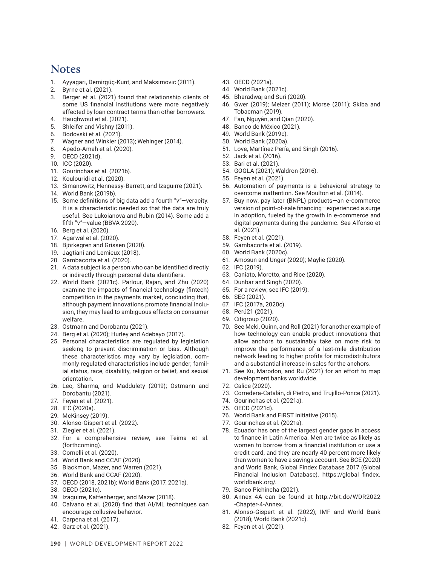## **Notes**

- 1. Ayyagari, Demirgüç-Kunt, and Maksimovic (2011).
- 2. Byrne et al. (2021).
- 3. Berger et al. (2021) found that relationship clients of some US financial institutions were more negatively affected by loan contract terms than other borrowers.
- 4. Haughwout et al. (2021).
- 5. Shleifer and Vishny (2011).
- 6. Bodovski et al. (2021).
- 7. Wagner and Winkler (2013); Wehinger (2014).
- 8. Apedo-Amah et al. (2020).
- 9. OECD (2021d).
- 10. ICC (2020).
- 11. Gourinchas et al. (2021b).
- 12. Koulouridi et al. (2020).
- 13. Simanowitz, Hennessy-Barrett, and Izaguirre (2021).
- 14. World Bank (2019b).
- 15. Some definitions of big data add a fourth "v"—veracity. It is a characteristic needed so that the data are truly useful. See Lukoianova and Rubin (2014). Some add a fifth "v"—value (BBVA 2020).
- 16. Berg et al. (2020).
- 17. Agarwal et al. (2020).
- 18. Björkegren and Grissen (2020).
- 19. Jagtiani and Lemieux (2018).
- 20. Gambacorta et al. (2020).
- 21. A data subject is a person who can be identified directly or indirectly through personal data identifiers.
- 22. World Bank (2021c). Parlour, Rajan, and Zhu (2020) examine the impacts of financial technology (fintech) competition in the payments market, concluding that, although payment innovations promote financial inclusion, they may lead to ambiguous effects on consumer welfare.
- 23. Ostmann and Dorobantu (2021).
- 24. Berg et al. (2020); Hurley and Adebayo (2017).
- 25. Personal characteristics are regulated by legislation seeking to prevent discrimination or bias. Although these characteristics may vary by legislation, commonly regulated characteristics include gender, familial status, race, disability, religion or belief, and sexual orientation.
- 26. Leo, Sharma, and Maddulety (2019); Ostmann and Dorobantu (2021).
- 27. Feyen et al. (2021).
- 28. IFC (2020a).
- 29. McKinsey (2019).
- 30. Alonso-Gispert et al. (2022).
- 31. Ziegler et al. (2021).
- 32. For a comprehensive review, see Teima et al. (forthcoming).
- 33. Cornelli et al. (2020).
- 34. World Bank and CCAF (2020).
- 35. Blackmon, Mazer, and Warren (2021).
- 36. World Bank and CCAF (2020).
- 37. OECD (2018, 2021b); World Bank (2017, 2021a).
- 38. OECD (2021c).
- 39. Izaguirre, Kaffenberger, and Mazer (2018).
- 40. Calvano et al. (2020) find that AI/ML techniques can encourage collusive behavior.
- 41. Carpena et al. (2017).
- 42. Garz et al. (2021).
- 43. OECD (2021a).
- 44. World Bank (2021c).
- 45. Bharadwaj and Suri (2020).
- 46. Gwer (2019); Melzer (2011); Morse (2011); Skiba and Tobacman (2019).
- 47. Fan, Nguyên, and Qian (2020).
- 48. Banco de México (2021).
- 49. World Bank (2019c).
- 50. World Bank (2020a).
- 51. Love, Martínez Pería, and Singh (2016).
- 52. Jack et al. (2016).
- 53. Bari et al. (2021).
- 54. GOGLA (2021); Waldron (2016).
- 55. Feyen et al. (2021).
- 56. Automation of payments is a behavioral strategy to overcome inattention. See Moulton et al. (2014).
- 57. Buy now, pay later (BNPL) products—an e-commerce version of point-of-sale financing—experienced a surge in adoption, fueled by the growth in e-commerce and digital payments during the pandemic. See Alfonso et al. (2021).
- 58. Feyen et al. (2021).
- 59. Gambacorta et al. (2019).
- 60. World Bank (2020c).
- 61. Amosun and Unger (2020); Maylie (2020).
- 62. IFC (2019).
- 63. Caniato, Moretto, and Rice (2020).
- 64. Dunbar and Singh (2020).
- 65. For a review, see IFC (2019).
- 66. SEC (2021).
- 67. IFC (2017a, 2020c).
- 68. Perú21 (2021).
- 69. Citigroup (2020).
- 70. See Meki, Quinn, and Roll (2021) for another example of how technology can enable product innovations that allow anchors to sustainably take on more risk to improve the performance of a last-mile distribution network leading to higher profits for microdistributors and a substantial increase in sales for the anchors.
- 71. See Xu, Marodon, and Ru (2021) for an effort to map development banks worldwide.
- 72. Calice (2020).
- 73. Corredera-Catalán, di Pietro, and Trujillo-Ponce (2021).
- 74. Gourinchas et al. (2021a).
- 75. OECD (2021d).
- 76. World Bank and FIRST Initiative (2015).
- 77. Gourinchas et al. (2021a).
- 78. Ecuador has one of the largest gender gaps in access to finance in Latin America. Men are twice as likely as women to borrow from a financial institution or use a credit card, and they are nearly 40 percent more likely than women to have a savings account. See BCE (2020) and World Bank, Global Findex Database 2017 (Global Financial Inclusion Database), https://global findex. worldbank.org/.
- 79. Banco Pichincha (2021).
- 80. Annex 4A can be found at http://bit.do/WDR2022 -Chapter-4-Annex.
- 81. Alonso-Gispert et al. (2022); IMF and World Bank (2018); World Bank (2021c).
- 82. Feyen et al. (2021).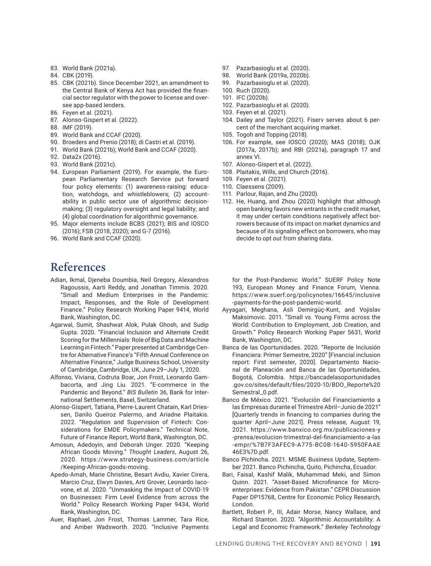- 83. World Bank (2021a).
- 84. CBK (2019).
- 85. CBK (2021b). Since December 2021, an amendment to the Central Bank of Kenya Act has provided the financial sector regulator with the power to license and oversee app-based lenders.
- 86. Feyen et al. (2021).
- 87. Alonso-Gispert et al. (2022).
- 88. IMF (2019).
- 89. World Bank and CCAF (2020).
- 90. Broeders and Prenio (2018); di Castri et al. (2019).
- 91. World Bank (2021b); World Bank and CCAF (2020).
- 92. Data2x (2016).
- 93. World Bank (2021c).
- 94. European Parliament (2019). For example, the European Parliamentary Research Service put forward four policy elements: (1) awareness-raising: education, watchdogs, and whistleblowers; (2) accountability in public sector use of algorithmic decisionmaking; (3) regulatory oversight and legal liability; and (4) global coordination for algorithmic governance.
- 95. Major elements include BCBS (2021); BIS and IOSCO (2016); FSB (2018, 2020); and G-7 (2016).
- 96. World Bank and CCAF (2020).

# **References**

- Adian, Ikmal, Djeneba Doumbia, Neil Gregory, Alexandros Ragoussis, Aarti Reddy, and Jonathan Timmis. 2020. "Small and Medium Enterprises in the Pandemic: Impact, Responses, and the Role of Development Finance." Policy Research Working Paper 9414, World Bank, Washington, DC.
- Agarwal, Sumit, Shashwat Alok, Pulak Ghosh, and Sudip Gupta. 2020. "Financial Inclusion and Alternate Credit Scoring for the Millennials: Role of Big Data and Machine Learning in Fintech." Paper presented at Cambridge Centre for Alternative Finance's "Fifth Annual Conference on Alternative Finance," Judge Business School, University of Cambridge, Cambridge, UK, June 29–July 1, 2020.
- Alfonso, Viviana, Codruta Boar, Jon Frost, Leonardo Gambacorta, and Jing Liu. 2021. "E-commerce in the Pandemic and Beyond." *BIS Bulletin* 36, Bank for International Settlements, Basel, Switzerland.
- Alonso-Gispert, Tatiana, Pierre-Laurent Chatain, Karl Driessen, Danilo Queiroz Palermo, and Ariadne Plaitakis. 2022. "Regulation and Supervision of Fintech: Considerations for EMDE Policymakers." Technical Note, Future of Finance Report, World Bank, Washington, DC.
- Amosun, Adedoyin, and Deborah Unger. 2020. "Keeping African Goods Moving." *Thought Leaders*, August 26, 2020. https://www.strategy-business.com/article /Keeping-African-goods-moving.
- Apedo-Amah, Marie Christine, Besart Avdiu, Xavier Cirera, Marcio Cruz, Elwyn Davies, Arti Grover, Leonardo Iacovone, et al. 2020. "Unmasking the Impact of COVID-19 on Businesses: Firm Level Evidence from across the World." Policy Research Working Paper 9434, World Bank, Washington, DC.
- Auer, Raphael, Jon Frost, Thomas Lammer, Tara Rice, and Amber Wadsworth. 2020. "Inclusive Payments
- 97. Pazarbasioglu et al. (2020).
- 98. World Bank (2019a, 2020b).
- 99. Pazarbasioglu et al. (2020).
- 100. Ruch (2020).
- 101. IFC (2020b).
- 102. Pazarbasioglu et al. (2020).
- 103. Feyen et al. (2021).
- 104. Dailey and Taylor (2021). Fiserv serves about 6 percent of the merchant acquiring market.
- 105. Togoh and Topping (2018).
- 106. For example, see IOSCO (2020); MAS (2018); OJK (2017a, 2017b); and RBI (2021a), paragraph 17 and annex VI.
- 107. Alonso-Gispert et al. (2022).
- 108. Plaitakis, Wills, and Church (2016).
- 109. Feyen et al. (2021).
- 110. Claessens (2009).
- 111. Parlour, Rajan, and Zhu (2020).
- 112. He, Huang, and Zhou (2020) highlight that although open banking favors new entrants in the credit market, it may under certain conditions negatively affect borrowers because of its impact on market dynamics and because of its signaling effect on borrowers, who may decide to opt out from sharing data.

for the Post-Pandemic World." SUERF Policy Note 193, European Money and Finance Forum, Vienna. https://www.suerf.org/policynotes/16645/inclusive -payments-for-the-post-pandemic-world.

- Ayyagari, Meghana, Asli Demirgüç-Kunt, and Vojislav Maksimovic. 2011. "Small vs. Young Firms across the World: Contribution to Employment, Job Creation, and Growth." Policy Research Working Paper 5631, World Bank, Washington, DC.
- Banca de las Oportunidades. 2020. "Reporte de Inclusión Financiera: Primer Semestre, 2020" [Financial inclusion report: First semester, 2020]. Departamento Nacional de Planeación and Banca de las Oportunidades, Bogotá, Colombia. https://bancadelasoportunidades .gov.co/sites/default/files/2020-10/BDO\_Reporte%20 Semestral\_0.pdf.
- Banco de México. 2021. "Evolución del Financiamiento a las Empresas durante el Trimestre Abril–Junio de 2021" [Quarterly trends in financing to companies during the quarter April–June 2021]. Press release, August 19, 2021. https://www.banxico.org.mx/publicaciones-y -prensa/evolucion-trimestral-del-financiamiento-a-las -empr/%7B7F3AFEC9-A775-BC0B-1640-5950FAAE 46E3%7D.pdf.
- Banco Pichincha. 2021. MSME Business Update, September 2021. Banco Pichincha, Quito, Pichincha, Ecuador.
- Bari, Faisal, Kashif Malik, Muhammad Meki, and Simon Quinn. 2021. "Asset-Based Microfinance for Microenterprises: Evidence from Pakistan." CEPR Discussion Paper DP15768, Centre for Economic Policy Research, London.
- Bartlett, Robert P., III, Adair Morse, Nancy Wallace, and Richard Stanton. 2020. "Algorithmic Accountability: A Legal and Economic Framework." *Berkeley Technology*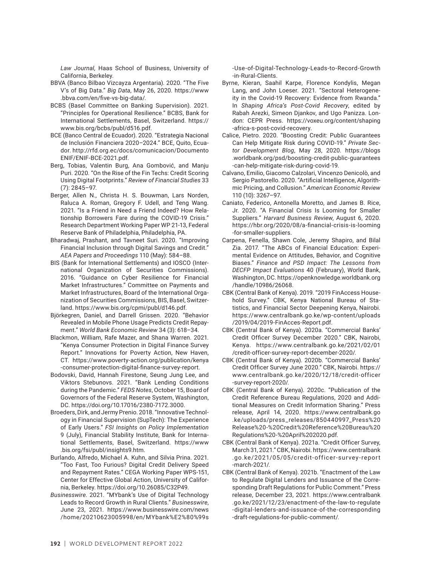*Law Journal,* Haas School of Business, University of California, Berkeley.

- BBVA (Banco Bilbao Vizcayza Argentaria). 2020. "The Five V's of Big Data." *Big Data*, May 26, 2020. https://www .bbva.com/en/five-vs-big-data/.
- BCBS (Basel Committee on Banking Supervision). 2021. "Principles for Operational Resilience." BCBS, Bank for International Settlements, Basel, Switzerland. https:// www.bis.org/bcbs/publ/d516.pdf.
- BCE (Banco Central de Ecuador). 2020. "Estrategia Nacional de Inclusión Financiera 2020–2024." BCE, Quito, Ecuador. http://rfd.org.ec/docs/comunicacion/Documento ENIF/ENIF-BCE-2021.pdf.
- Berg, Tobias, Valentin Burg, Ana Gombović, and Manju Puri. 2020. "On the Rise of the Fin Techs: Credit Scoring Using Digital Footprints." *Review of Financial Studies* 33 (7): 2845–97.
- Berger, Allen N., Christa H. S. Bouwman, Lars Norden, Raluca A. Roman, Gregory F. Udell, and Teng Wang. 2021. "Is a Friend in Need a Friend Indeed? How Relationship Borrowers Fare during the COVID-19 Crisis." Research Department Working Paper WP 21-13, Federal Reserve Bank of Philadelphia, Philadelphia, PA.
- Bharadwaj, Prashant, and Tavneet Suri. 2020. "Improving Financial Inclusion through Digital Savings and Credit." *AEA Papers and Proceedings* 110 (May): 584–88.
- BIS (Bank for International Settlements) and IOSCO (International Organization of Securities Commissions). 2016. "Guidance on Cyber Resilience for Financial Market Infrastructures." Committee on Payments and Market Infrastructures, Board of the International Organization of Securities Commissions, BIS, Basel, Switzerland. https://www.bis.org/cpmi/publ/d146.pdf.
- Björkegren, Daniel, and Darrell Grissen. 2020. "Behavior Revealed in Mobile Phone Usage Predicts Credit Repayment." *World Bank Economic Review* 34 (3): 618–34.
- Blackmon, William, Rafe Mazer, and Shana Warren. 2021. "Kenya Consumer Protection in Digital Finance Survey Report." Innovations for Poverty Action, New Haven, CT. https://www.poverty-action.org/publication/kenya -consumer-protection-digital-finance-survey-report.
- Bodovski, David, Hannah Firestone, Seung Jung Lee, and Viktors Stebunovs. 2021. "Bank Lending Conditions during the Pandemic." *FEDS Notes*, October 15, Board of Governors of the Federal Reserve System, Washington, DC. https://doi.org/10.17016/2380-7172.3000.
- Broeders, Dirk, and Jermy Prenio. 2018. "Innovative Technology in Financial Supervision (SupTech): The Experience of Early Users." *FSI Insights on Policy Implementation* 9 (July), Financial Stability Institute, Bank for International Settlements, Basel, Switzerland. https://www .bis.org/fsi/publ/insights9.htm.
- Burlando, Alfredo, Michael A. Kuhn, and Silvia Prina. 2021. "Too Fast, Too Furious? Digital Credit Delivery Speed and Repayment Rates." CEGA Working Paper WPS-151, Center for Effective Global Action, University of California, Berkeley. https://doi.org/10.26085/C32P49.
- *Businesswire*. 2021. "MYbank's Use of Digital Technology Leads to Record Growth in Rural Clients." *Businesswire*, June 23, 2021. https://www.businesswire.com/news /home/20210623005998/en/MYbank%E2%80%99s

-Use-of-Digital-Technology-Leads-to-Record-Growth -in-Rural-Clients.

- Byrne, Kieran, Saahil Karpe, Florence Kondylis, Megan Lang, and John Loeser. 2021. "Sectoral Heterogeneity in the Covid-19 Recovery: Evidence from Rwanda." In *Shaping Africa's Post-Covid Recovery*, edited by Rabah Arezki, Simeon Djankov, and Ugo Panizza. London: CEPR Press. https://voxeu.org/content/shaping -africa-s-post-covid-recovery.
- Calice, Pietro. 2020. "Boosting Credit: Public Guarantees Can Help Mitigate Risk during COVID-19." *Private Sector Development Blog*, May 28, 2020. https://blogs .worldbank.org/psd/boosting-credit-public-guarantees -can-help-mitigate-risk-during-covid-19.
- Calvano, Emilio, Giacomo Calzolari, Vincenzo Denicolò, and Sergio Pastorello. 2020. "Artificial Intelligence, Algorithmic Pricing, and Collusion." *American Economic Review* 110 (10): 3267–97.
- Caniato, Federico, Antonella Moretto, and James B. Rice, Jr. 2020. "A Financial Crisis Is Looming for Smaller Suppliers." *Harvard Business Review*, August 6, 2020. https://hbr.org/2020/08/a-financial-crisis-is-looming -for-smaller-suppliers.
- Carpena, Fenella, Shawn Cole, Jeremy Shapiro, and Bilal Zia. 2017. "The ABCs of Financial Education: Experimental Evidence on Attitudes, Behavior, and Cognitive Biases." *Finance and PSD Impact: The Lessons from DECFP Impact Evaluations* 40 (February), World Bank, Washington, DC. https://openknowledge.worldbank.org /handle/10986/26068.
- CBK (Central Bank of Kenya). 2019. "2019 FinAccess Household Survey." CBK, Kenya National Bureau of Statistics, and Financial Sector Deepening Kenya, Nairobi. https://www.centralbank.go.ke/wp-content/uploads /2019/04/2019-FinAcces-Report.pdf.
- CBK (Central Bank of Kenya). 2020a. "Commercial Banks' Credit Officer Survey December 2020." CBK, Nairobi, Kenya. https://www.centralbank.go.ke/2021/02/01 /credit-officer-survey-report-december-2020/.
- CBK (Central Bank of Kenya). 2020b. "Commercial Banks' Credit Officer Survey June 2020." CBK, Nairobi. https:// www.centralbank.go.ke/2020/12/18/credit-officer -survey-report-2020/.
- CBK (Central Bank of Kenya). 2020c. "Publication of the Credit Reference Bureau Regulations, 2020 and Additional Measures on Credit Information Sharing." Press release, April 14, 2020. https://www.centralbank.go .ke/uploads/press\_releases/850440997\_Press%20 Release%20-%20Credit%20Reference%20Bureau%20 Regulations%20-%20April%202020.pdf.
- CBK (Central Bank of Kenya). 2021a. "Credit Officer Survey, March 31, 2021." CBK, Nairobi. https://www.centralbank .go.ke/2021/05/05/credit-officer-survey-report -march-2021/.
- CBK (Central Bank of Kenya). 2021b. "Enactment of the Law to Regulate Digital Lenders and Issuance of the Corresponding Draft Regulations for Public Comment." Press release, December 23, 2021. https://www.centralbank .go.ke/2021/12/23/enactment-of-the-law-to-regulate -digital-lenders-and-issuance-of-the-corresponding -draft-regulations-for-public-comment/.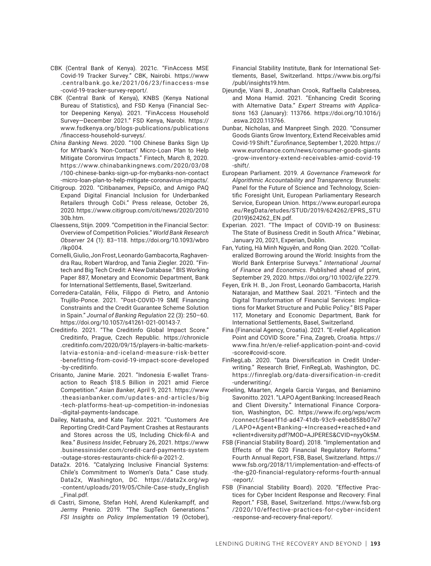- CBK (Central Bank of Kenya). 2021c. "FinAccess MSE Covid-19 Tracker Survey." CBK, Nairobi. https://www .centralbank.go.ke/2021/06/23/finaccess-mse -covid-19-tracker-survey-report/.
- CBK (Central Bank of Kenya), KNBS (Kenya National Bureau of Statistics), and FSD Kenya (Financial Sector Deepening Kenya). 2021. "FinAccess Household Survey—December 2021." FSD Kenya, Narobi. https:// www.fsdkenya.org/blogs-publications/publications /finaccess-household-surveys/.
- *China Banking News*. 2020. "100 Chinese Banks Sign Up for MYbank's 'Non-Contact' Micro-Loan Plan to Help Mitigate Coronvirus Impacts." Fintech, March 8, 2020. https://www.chinabankingnews.com/2020/03/08 /100-chinese-banks-sign-up-for-mybanks-non-contact -micro-loan-plan-to-help-mitigate-coronavirus-impacts/.
- Citigroup. 2020. "Citibanamex, PepsiCo, and Amigo PAQ Expand Digital Financial Inclusion for Underbanked Retailers through CoDi." Press release, October 26, 2020. https://www.citigroup.com/citi/news/2020/2010 30b.htm.
- Claessens, Stijn. 2009. "Competition in the Financial Sector: Overview of Competition Policies." *World Bank Research Observer* 24 (1): 83–118. https://doi.org/10.1093/wbro /lkp004.
- Cornelli, Giulio, Jon Frost, Leonardo Gambacorta, Raghavendra Rau, Robert Wardrop, and Tania Ziegler. 2020. "Fintech and Big Tech Credit: A New Database." BIS Working Paper 887, Monetary and Economic Department, Bank for International Settlements, Basel, Switzerland.
- Corredera-Catalán, Félix, Filippo di Pietro, and Antonio Trujillo‑Ponce. 2021. "Post‑COVID‑19 SME Financing Constraints and the Credit Guarantee Scheme Solution in Spain." *Journal of Banking Regulation* 22 (3): 250–60. https://doi.org/10.1057/s41261-021-00143-7.
- Creditinfo. 2021. "The Creditinfo Global Impact Score." Creditinfo, Prague, Czech Republic. https://chronicle .creditinfo.com/2020/09/15/players-in-baltic-marketslatvia-estonia-and-iceland-measure-risk-better -benefitting-from-covid-19-impact-score-developed -by-creditinfo.
- Crisanto, Janine Marie. 2021. "Indonesia E-wallet Transaction to Reach \$18.5 Billion in 2021 amid Fierce Competition." *Asian Banker*, April 9, 2021. https://www .theasianbanker.com/updates-and-articles/big -tech-platforms-heat-up-competition-in-indonesias -digital-payments-landscape.
- Dailey, Natasha, and Kate Taylor. 2021. "Customers Are Reporting Credit-Card Payment Crashes at Restaurants and Stores across the US, Including Chick-fil-A and Ikea." *Business Insider*, February 26, 2021. https://www .businessinsider.com/credit-card-payments-system -outage-stores-restaurants-chick-fil-a-2021-2.
- Data2x. 2016. "Catalyzing Inclusive Financial Systems: Chile's Commitment to Women's Data." Case study. Data2x, Washington, DC. https://data2x.org/wp -content/uploads/2019/05/Chile-Case-study\_English \_Final.pdf.
- di Castri, Simone, Stefan Hohl, Arend Kulenkampff, and Jermy Prenio. 2019. "The SupTech Generations." *FSI Insights on Policy Implementation* 19 (October),

Financial Stability Institute, Bank for International Settlements, Basel, Switzerland. https://www.bis.org/fsi /publ/insights19.htm.

- Djeundje, Viani B., Jonathan Crook, Raffaella Calabresea, and Mona Hamid. 2021. "Enhancing Credit Scoring with Alternative Data." *Expert Streams with Applications* 163 (January): 113766. https://doi.org/10.1016/j .eswa.2020.113766.
- Dunbar, Nicholas, and Manpreet Singh. 2020. "Consumer Goods Giants Grow Inventory, Extend Receivables amid Covid-19 Shift." *Eurofinance,* September 1, 2020. https:// www.eurofinance.com/news/consumer-goods-giants -grow-inventory-extend-receivables-amid-covid-19 -shift/.
- European Parliament. 2019. *A Governance Framework for Algorithmic Accountability and Transparency*. Brussels: Panel for the Future of Science and Technology, Scientific Foresight Unit, European Parliamentary Research Service, European Union. https://www.europarl.europa .eu/RegData/etudes/STUD/2019/624262/EPRS\_STU (2019)624262\_EN.pdf.
- Experian. 2021. "The Impact of COVID-19 on Business: The State of Business Credit in South Africa." Webinar, January 20, 2021, Experian, Dublin.
- Fan, Yuting, Hà Minh Nguyên, and Rong Qian. 2020. "Collateralized Borrowing around the World: Insights from the World Bank Enterprise Surveys." *International Journal of Finance and Economics*. Published ahead of print, September 29, 2020. https://doi.org/10.1002/ijfe.2279.
- Feyen, Erik H. B., Jon Frost, Leonardo Gambacorta, Harish Natarajan, and Matthew Saal. 2021. "Fintech and the Digital Transformation of Financial Services: Implications for Market Structure and Public Policy." BIS Paper 117, Monetary and Economic Department, Bank for International Settlements, Basel, Switzerland.
- Fina (Financial Agency, Croatia). 2021. "E-relief Application Point and COVID Score." Fina, Zagreb, Croatia. https:// www.fina.hr/en/e-relief-application-point-and-covid -score#covid-score.
- FinRegLab. 2020. "Data Diversification in Credit Underwriting." Research Brief, FinRegLab, Washington, DC. https://finreglab.org/data-diversification-in-credit -underwriting/.
- Froeling, Maarten, Angela Garcia Vargas, and Beniamino Savonitto. 2021. "LAPO Agent Banking: Increased Reach and Client Diversity." International Finance Corporation, Washington, DC. https://www.ifc.org/wps/wcm /connect/5eae1f1d-ad47-41db-93c9-eebd858b07e7 /LAPO+Agent+Banking-+Increased+reached+and +client+diversity.pdf?MOD=AJPERES&CVID=nyyOk5M.
- FSB (Financial Stability Board). 2018. "Implementation and Effects of the G20 Financial Regulatory Reforms." Fourth Annual Report, FSB, Basel, Switzerland. https:// www.fsb.org/2018/11/implementation-and-effects-of -the-g20-financial-regulatory-reforms-fourth-annual -report/.
- FSB (Financial Stability Board). 2020. "Effective Practices for Cyber Incident Response and Recovery: Final Report." FSB, Basel, Switzerland. https://www.fsb.org /2020/10/effective-practices-for-cyber-incident -response-and-recovery-final-report/.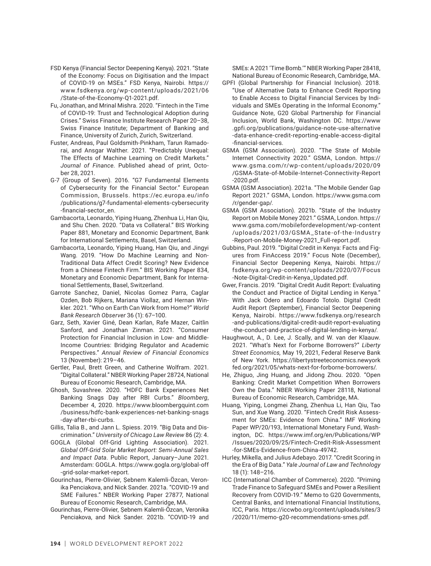- FSD Kenya (Financial Sector Deepening Kenya). 2021. "State of the Economy: Focus on Digitisation and the Impact of COVID-19 on MSEs." FSD Kenya, Nairobi. https:// www.fsdkenya.org/wp-content/uploads/2021/06 /State-of-the-Economy-Q1-2021.pdf.
- Fu, Jonathan, and Mrinal Mishra. 2020. "Fintech in the Time of COVID-19: Trust and Technological Adoption during Crises." Swiss Finance Institute Research Paper 20–38, Swiss Finance Institute; Department of Banking and Finance, University of Zurich, Zurich, Switzerland.
- Fuster, Andreas, Paul Goldsmith-Pinkham, Tarun Ramadorai, and Ansgar Walther. 2021. "Predictably Unequal: The Effects of Machine Learning on Credit Markets." *Journal of Finance*. Published ahead of print, October 28, 2021.
- G-7 (Group of Seven). 2016. "G7 Fundamental Elements of Cybersecurity for the Financial Sector." European Commission, Brussels. https://ec.europa.eu/info /publications/g7-fundamental-elements-cybersecurity -financial-sector\_en.
- Gambacorta, Leonardo, Yiping Huang, Zhenhua Li, Han Qiu, and Shu Chen. 2020. "Data vs Collateral." BIS Working Paper 881, Monetary and Economic Department, Bank for International Settlements, Basel, Switzerland.
- Gambacorta, Leonardo, Yiping Huang, Han Qiu, and Jingyi Wang. 2019. "How Do Machine Learning and Non-Traditional Data Affect Credit Scoring? New Evidence from a Chinese Fintech Firm." BIS Working Paper 834, Monetary and Economic Department, Bank for International Settlements, Basel, Switzerland.
- Garrote Sanchez, Daniel, Nicolas Gomez Parra, Caglar Ozden, Bob Rijkers, Mariana Viollaz, and Hernan Winkler. 2021. "Who on Earth Can Work from Home?" *World Bank Research Observer* 36 (1): 67–100.
- Garz, Seth, Xavier Giné, Dean Karlan, Rafe Mazer, Caitlin Sanford, and Jonathan Zinman. 2021. "Consumer Protection for Financial Inclusion in Low- and Middle-Income Countries: Bridging Regulator and Academic Perspectives." *Annual Review of Financial Economics* 13 (November): 219–46.
- Gertler, Paul, Brett Green, and Catherine Wolfram. 2021. "Digital Collateral." NBER Working Paper 28724, National Bureau of Economic Research, Cambridge, MA.
- Ghosh, Suvashree. 2020. "HDFC Bank Experiences Net Banking Snags Day after RBI Curbs." *Bloomberg*, December 4, 2020. https://www.bloombergquint.com /business/hdfc-bank-experiences-net-banking-snags -day-after-rbi-curbs.
- Gillis, Talia B., and Jann L. Spiess. 2019. "Big Data and Discrimination." *University of Chicago Law Review* 86 (2): 4.
- GOGLA (Global Off-Grid Lighting Association). 2021. *Global Off-Grid Solar Market Report: Semi-Annual Sales and Impact Data*. Public Report, January–June 2021. Amsterdam: GOGLA. https://www.gogla.org/global-off -grid-solar-market-report.
- Gourinchas, Pierre-Olivier, Ṣebnem Kalemli-Özcan, Veronika Penciakova, and Nick Sander. 2021a. "COVID-19 and SME Failures." NBER Working Paper 27877, National Bureau of Economic Research, Cambridge, MA.
- Gourinchas, Pierre-Olivier, Ṣebnem Kalemli-Özcan, Veronika Penciakova, and Nick Sander. 2021b. "COVID-19 and

SMEs: A 2021 'Time Bomb.'" NBER Working Paper 28418, National Bureau of Economic Research, Cambridge, MA.

- GPFI (Global Partnership for Financial Inclusion). 2018. "Use of Alternative Data to Enhance Credit Reporting to Enable Access to Digital Financial Services by Individuals and SMEs Operating in the Informal Economy." Guidance Note, G20 Global Partnership for Financial Inclusion, World Bank, Washington DC. https://www .gpfi.org/publications/guidance-note-use-alternative -data-enhance-credit-reporting-enable-access-digital -financial-services.
- GSMA (GSM Association). 2020. "The State of Mobile Internet Connectivity 2020." GSMA, London. https:// www.gsma.com/r/wp-content/uploads/2020/09 /GSMA-State-of-Mobile-Internet-Connectivity-Report -2020.pdf.
- GSMA (GSM Association). 2021a. "The Mobile Gender Gap Report 2021." GSMA, London. https://www.gsma.com /r/gender-gap/.
- GSMA (GSM Association). 2021b. "State of the Industry Report on Mobile Money 2021." GSMA, London. https:// www.gsma.com/mobilefordevelopment/wp-content /uploads/2021/03/GSMA\_State-of-the-Industry -Report-on-Mobile-Money-2021\_Full-report.pdf.
- Gubbins, Paul. 2019. "Digital Credit in Kenya: Facts and Figures from FinAccess 2019." Focus Note (December), Financial Sector Deepening Kenya, Nairobi. https:// fsdkenya.org/wp-content/uploads/2020/07/Focus -Note-Digital-Credit-in-Kenya\_Updated.pdf.
- Gwer, Francis. 2019. "Digital Credit Audit Report: Evaluating the Conduct and Practice of Digital Lending in Kenya." With Jack Odero and Edoardo Totolo. Digital Credit Audit Report (September), Financial Sector Deepening Kenya, Nairobi. https://www.fsdkenya.org/research -and-publications/digital-credit-audit-report-evaluating -the-conduct-and-practice-of-digital-lending-in-kenya/.
- Haughwout, A., D. Lee, J. Scally, and W. van der Klaauw. 2021. "What's Next for Forborne Borrowers?" *Liberty Street Economics,* May 19, 2021, Federal Reserve Bank of New York. https://libertystreeteconomics.newyork fed.org/2021/05/whats-next-for-forborne-borrowers/.
- He, Zhiguo, Jing Huang, and Jidong Zhou. 2020. "Open Banking: Credit Market Competition When Borrowers Own the Data." NBER Working Paper 28118, National Bureau of Economic Research, Cambridge, MA.
- Huang, Yiping, Longmei Zhang, Zhenhua Li, Han Qiu, Tao Sun, and Xue Wang. 2020. "Fintech Credit Risk Assessment for SMEs: Evidence from China." IMF Working Paper WP/20/193, International Monetary Fund, Washington, DC. https://www.imf.org/en/Publications/WP /Issues/2020/09/25/Fintech-Credit-Risk-Assessment -for-SMEs-Evidence-from-China-49742.
- Hurley, Mikella, and Julius Adebayo. 2017. "Credit Scoring in the Era of Big Data." *Yale Journal of Law and Technology* 18 (1): 148–216.
- ICC (International Chamber of Commerce). 2020. "Priming Trade Finance to Safeguard SMEs and Power a Resilient Recovery from COVID-19." Memo to G20 Governments, Central Banks, and International Financial Institutions, ICC, Paris. https://iccwbo.org/content/uploads/sites/3 /2020/11/memo-g20-recommendations-smes.pdf.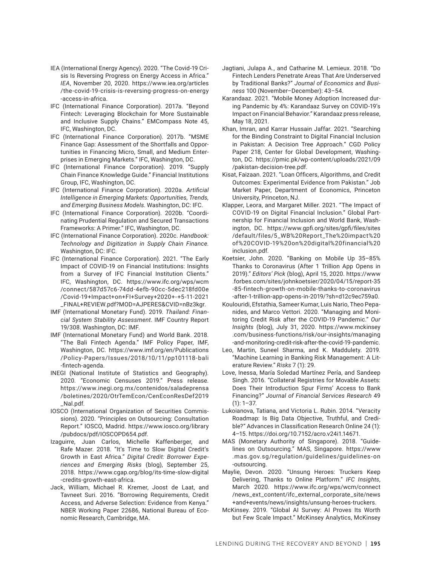- IEA (International Energy Agency). 2020. "The Covid-19 Crisis Is Reversing Progress on Energy Access in Africa." *IEA*, November 20, 2020. https://www.iea.org/articles /the-covid-19-crisis-is-reversing-progress-on-energy -access-in-africa.
- IFC (International Finance Corporation). 2017a. "Beyond Fintech: Leveraging Blockchain for More Sustainable and Inclusive Supply Chains." EMCompass Note 45, IFC, Washington, DC.
- IFC (International Finance Corporation). 2017b. "MSME Finance Gap: Assessment of the Shortfalls and Opportunities in Financing Micro, Small, and Medium Enterprises in Emerging Markets." IFC, Washington, DC.
- IFC (International Finance Corporation). 2019. "Supply Chain Finance Knowledge Guide." Financial Institutions Group, IFC, Washington, DC.
- IFC (International Finance Corporation). 2020a. *Artificial Intelligence in Emerging Markets: Opportunities, Trends, and Emerging Business Models*. Washington, DC: IFC.
- IFC (International Finance Corporation). 2020b. "Coordinating Prudential Regulation and Secured Transactions Frameworks: A Primer." IFC, Washington, DC.
- IFC (International Finance Corporation). 2020c. *Handbook: Technology and Digitization in Supply Chain Finance*. Washington, DC: IFC.
- IFC (International Finance Corporation). 2021. "The Early Impact of COVID-19 on Financial Institutions: Insights from a Survey of IFC Financial Institution Clients." IFC, Washington, DC. https://www.ifc.org/wps/wcm /connect/587d57c6-74dd-4efb-90cc-5dec218fd00e /Covid-19+Impact+on+FI+Survey+2020+-+5-11-2021 \_FINAL+REVIEW.pdf?MOD=AJPERES&CVID=nBz3kgr.
- IMF (International Monetary Fund). 2019. *Thailand: Financial System Stability Assessment*. IMF Country Report 19/308. Washington, DC: IMF.
- IMF (International Monetary Fund) and World Bank. 2018. "The Bali Fintech Agenda." IMF Policy Paper, IMF, Washington, DC. https://www.imf.org/en/Publications /Policy-Papers/Issues/2018/10/11/pp101118-bali -fintech-agenda.
- INEGI (National Institute of Statistics and Geography). 2020. "Economic Censuses 2019." Press release. https://www.inegi.org.mx/contenidos/saladeprensa /boletines/2020/OtrTemEcon/CenEconResDef2019 \_Nal.pdf.
- IOSCO (International Organization of Securities Commissions). 2020. "Principles on Outsourcing: Consultation Report." IOSCO, Madrid. https://www.iosco.org/library /pubdocs/pdf/IOSCOPD654.pdf.
- Izaguirre, Juan Carlos, Michelle Kaffenberger, and Rafe Mazer. 2018. "It's Time to Slow Digital Credit's Growth in East Africa." *Digital Credit: Borrower Experiences and Emerging Risks* (blog), September 25, 2018. https://www.cgap.org/blog/its-time-slow-digital -credits-growth-east-africa.
- Jack, William, Michael R. Kremer, Joost de Laat, and Tavneet Suri. 2016. "Borrowing Requirements, Credit Access, and Adverse Selection: Evidence from Kenya." NBER Working Paper 22686, National Bureau of Economic Research, Cambridge, MA.
- Jagtiani, Julapa A., and Catharine M. Lemieux. 2018. "Do Fintech Lenders Penetrate Areas That Are Underserved by Traditional Banks?" *Journal of Economics and Business* 100 (November–December): 43–54.
- Karandaaz. 2021. "Mobile Money Adoption Increased during Pandemic by 4%: Karandaaz Survey on COVID-19's Impact on Financial Behavior." Karandaaz press release, May 18, 2021.
- Khan, Imran, and Karrar Hussain Jaffar. 2021. "Searching for the Binding Constraint to Digital Financial Inclusion in Pakistan: A Decision Tree Approach." CGD Policy Paper 218, Center for Global Development, Washington, DC. https://pmic.pk/wp-content/uploads/2021/09 /pakistan-decision-tree.pdf.
- Kisat, Faizaan. 2021. "Loan Officers, Algorithms, and Credit Outcomes: Experimental Evidence from Pakistan." Job Market Paper, Department of Economics, Princeton University, Princeton, NJ.
- Klapper, Leora, and Margaret Miller. 2021. "The Impact of COVID-19 on Digital Financial Inclusion." Global Partnership for Financial Inclusion and World Bank, Washington, DC. https://www.gpfi.org/sites/gpfi/files/sites /default/files/5\_WB%20Report\_The%20impact%20 of%20COVID-19%20on%20digital%20financial%20 inclusion.pdf.
- Koetsier, John. 2020. "Banking on Mobile Up 35–85% Thanks to Coronavirus (After 1 Trillion App Opens in 2019)." *Editors' Pick* (blog), April 15, 2020. https://www .forbes.com/sites/johnkoetsier/2020/04/15/report-35 -85-fintech-growth-on-mobile-thanks-to-coronavirus -after-1-trillion-app-opens-in-2019/?sh=d12c9ec759a0.
- Koulouridi, Efstathia, Sameer Kumar, Luis Nario, Theo Pepanides, and Marco Vettori. 2020. "Managing and Monitoring Credit Risk after the COVID-19 Pandemic." *Our Insights* (blog), July 31, 2020. https://www.mckinsey .com/business-functions/risk/our-insights/managing -and-monitoring-credit-risk-after-the-covid-19-pandemic.
- Leo, Martin, Suneel Sharma, and K. Maddulety. 2019. "Machine Learning in Banking Risk Management: A Literature Review." *Risks* 7 (1): 29.
- Love, Inessa, María Soledad Martínez Pería, and Sandeep Singh. 2016. "Collateral Registries for Movable Assets: Does Their Introduction Spur Firms' Access to Bank Financing?" *Journal of Financial Services Research* 49 (1): 1–37.
- Lukoianova, Tatiana, and Victoria L. Rubin. 2014. "Veracity Roadmap: Is Big Data Objective, Truthful, and Credible?" Advances in Classification Research Online 24 (1): 4–15. https://doi.org/10.7152/acro.v24i1.14671.
- MAS (Monetary Authority of Singapore). 2018. "Guidelines on Outsourcing." MAS, Singapore. https://www .mas.gov.sg/regulation/guidelines/guidelines-on -outsourcing.
- Maylie, Devon. 2020. "Unsung Heroes: Truckers Keep Delivering, Thanks to Online Platform." *IFC Insights*, March 2020. https://www.ifc.org/wps/wcm/connect /news\_ext\_content/ifc\_external\_corporate\_site/news +and+events/news/insights/unsung-heroes-truckers.
- McKinsey. 2019. "Global AI Survey: AI Proves Its Worth but Few Scale Impact." McKinsey Analytics, McKinsey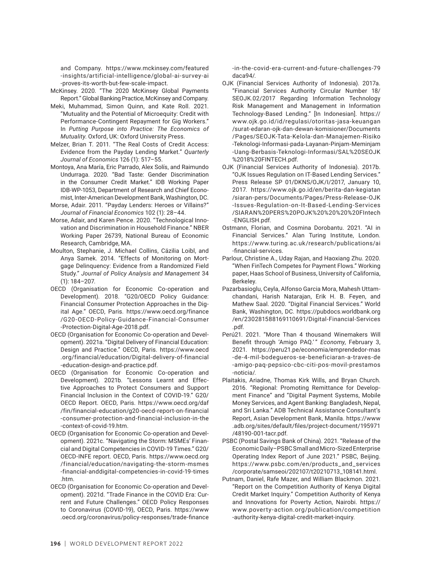and Company. https://www.mckinsey.com/featured -insights/artificial-intelligence/global-ai-survey-ai -proves-its-worth-but-few-scale-impact.

McKinsey. 2020. "The 2020 McKinsey Global Payments Report." Global Banking Practice, McKinsey and Company.

- Meki, Muhammad, Simon Quinn, and Kate Roll. 2021. "Mutuality and the Potential of Microequity: Credit with Performance-Contingent Repayment for Gig Workers." In *Putting Purpose into Practice: The Economics of Mutuality*. Oxford, UK: Oxford University Press.
- Melzer, Brian T. 2011. "The Real Costs of Credit Access: Evidence from the Payday Lending Market." *Quarterly Journal of Economics* 126 (1): 517–55.
- Montoya, Ana María, Eric Parrado, Alex Solís, and Raimundo Undurraga. 2020. "Bad Taste: Gender Discrimination in the Consumer Credit Market." IDB Working Paper IDB-WP-1053, Department of Research and Chief Economist, Inter-American Development Bank, Washington, DC.
- Morse, Adair. 2011. "Payday Lenders: Heroes or Villains?" *Journal of Financial Economics* 102 (1): 28–44.
- Morse, Adair, and Karen Pence. 2020. "Technological Innovation and Discrimination in Household Finance." NBER Working Paper 26739, National Bureau of Economic Research, Cambridge, MA.
- Moulton, Stephanie, J. Michael Collins, Cäzilia Loibl, and Anya Samek. 2014. "Effects of Monitoring on Mortgage Delinquency: Evidence from a Randomized Field Study." *Journal of Policy Analysis and Management* 34 (1): 184–207.
- OECD (Organisation for Economic Co-operation and Development). 2018. "G20/OECD Policy Guidance: Financial Consumer Protection Approaches in the Digital Age." OECD, Paris. https://www.oecd.org/finance /G20-OECD-Policy-Guidance-Financial-Consumer -Protection-Digital-Age-2018.pdf.
- OECD (Organisation for Economic Co-operation and Development). 2021a. "Digital Delivery of Financial Education: Design and Practice." OECD, Paris. https://www.oecd .org/financial/education/Digital-delivery-of-financial -education-design-and-practice.pdf.
- OECD (Organisation for Economic Co-operation and Development). 2021b. "Lessons Learnt and Effective Approaches to Protect Consumers and Support Financial Inclusion in the Context of COVID-19." G20/ OECD Report. OECD, Paris. https://www.oecd.org/daf /fin/financial-education/g20-oecd-report-on-financial -consumer-protection-and-financial-inclusion-in-the -context-of-covid-19.htm.
- OECD (Organisation for Economic Co-operation and Development). 2021c. "Navigating the Storm: MSMEs' Financial and Digital Competencies in COVID-19 Times." G20/ OECD-INFE report. OECD, Paris. https://www.oecd.org /financial/education/navigating-the-storm-msmes -financial-anddigital-competencies-in-covid-19-times .htm.
- OECD (Organisation for Economic Co-operation and Development). 2021d. "Trade Finance in the COVID Era: Current and Future Challenges." OECD Policy Responses to Coronavirus (COVID-19), OECD, Paris. https://www .oecd.org/coronavirus/policy-responses/trade-finance

-in-the-covid-era-current-and-future-challenges-79 daca94/.

- OJK (Financial Services Authority of Indonesia). 2017a. "Financial Services Authority Circular Number 18/ SEOJK.02/2017 Regarding Information Technology Risk Management and Management in Information Technology-Based Lending." [In Indonesian]. https:// www.ojk.go.id/id/regulasi/otoritas-jasa-keuangan /surat-edaran-ojk-dan-dewan-komisioner/Documents /Pages/SEOJK-Tata-Kelola-dan-Manajemen-Risiko -Teknologi-Informasi-pada-Layanan-Pinjam-Meminjam -Uang-Berbasis-Teknologi-Informasi/SAL%20SEOJK %2018%20FINTECH.pdf.
- OJK (Financial Services Authority of Indonesia). 2017b. "OJK Issues Regulation on IT-Based Lending Services." Press Release SP 01/DKNS/OJK/I/2017, January 10, 2017. https://www.ojk.go.id/en/berita-dan-kegiatan /siaran-pers/Documents/Pages/Press-Release-OJK -Issues-Regulation-on-It-Based-Lending-Services /SIARAN%20PERS%20POJK%20%20%20%20FIntech -ENGLISH.pdf.
- Ostmann, Florian, and Cosmina Dorobantu. 2021. "AI in Financial Services." Alan Turing Institute, London. https://www.turing.ac.uk/research/publications/ai -financial-services.
- Parlour, Christine A., Uday Rajan, and Haoxiang Zhu. 2020. "When FinTech Competes for Payment Flows." Working paper, Haas School of Business, University of California, Berkeley.
- Pazarbasioglu, Ceyla, Alfonso Garcia Mora, Mahesh Uttamchandani, Harish Natarajan, Erik H. B. Feyen, and Mathew Saal. 2020. "Digital Financial Services." World Bank, Washington, DC. https://pubdocs.worldbank.org /en/230281588169110691/Digital-Financial-Services .pdf.
- Perú21. 2021. "More Than 4 thousand Winemakers Will Benefit through 'Amigo PAQ.' " *Economy*, February 3, 2021. https://peru21.pe/economia/emprendedor-mas -de-4-mil-bodegueros-se-beneficiaran-a-traves-de -amigo-paq-pepsico-cbc-citi-pos-movil-prestamos -noticia/.
- Plaitakis, Ariadne, Thomas Kirk Wills, and Bryan Church. 2016. "Regional: Promoting Remittance for Development Finance" and "Digital Payment Systems, Mobile Money Services, and Agent Banking: Bangladesh, Nepal, and Sri Lanka." ADB Technical Assistance Consultant's Report, Asian Development Bank, Manila. https://www .adb.org/sites/default/files/project-document/195971 /48190-001-tacr.pdf.
- PSBC (Postal Savings Bank of China). 2021. "Release of the Economic Daily–PSBC Small and Micro-Sized Enterprise Operating Index Report of June 2021." PSBC, Beijing. https://www.psbc.com/en/products\_and\_services /corporate/samseoi/202107/t20210713\_108141.html.
- Putnam, Daniel, Rafe Mazer, and William Blackmon. 2021. "Report on the Competition Authority of Kenya Digital Credit Market Inquiry." Competition Authority of Kenya and Innovations for Poverty Action, Nairobi. https:// www.poverty-action.org/publication/competition -authority-kenya-digital-credit-market-inquiry.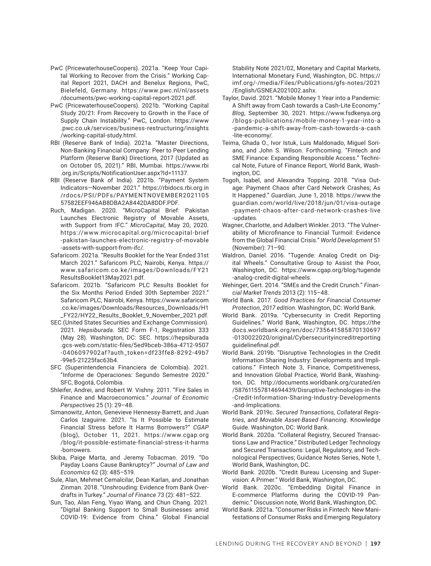- PwC (PricewaterhouseCoopers). 2021a. "Keep Your Capital Working to Recover from the Crisis." Working Capital Report 2021, DACH and Benelux Regions, PwC, Bielefeld, Germany. https://www.pwc.nl/nl/assets /documents/pwc-working-capital-report-2021.pdf.
- PwC (PricewaterhouseCoopers). 2021b. "Working Capital Study 20/21: From Recovery to Growth in the Face of Supply Chain Instability." PwC, London. https://www .pwc.co.uk/services/business-restructuring/insights /working-capital-study.html.
- RBI (Reserve Bank of India). 2021a. "Master Directions, Non-Banking Financial Company: Peer to Peer Lending Platform (Reserve Bank) Directions, 2017 (Updated as on October 05, 2021)." RBI, Mumbai. https://www.rbi .org.in/Scripts/NotificationUser.aspx?Id=11137.
- RBI (Reserve Bank of India). 2021b. "Payment System Indicators—November 2021." https://rbidocs.rbi.org.in /rdocs/PSI/PDFs/PAYMENTNOVEMBER2021105 57582EEF946AB8DBA2A8442DA8DDF.PDF.
- Ruch, Madigan. 2020. "MicroCapital Brief: Pakistan Launches Electronic Registry of Movable Assets, with Support from IFC." *MicroCapital*, May 20, 2020. https://www.microcapital.org/microcapital-brief -pakistan-launches-electronic-registry-of-movable -assets-with-support-from-ifc/.
- Safaricom. 2021a. "Results Booklet for the Year Ended 31st March 2021." Safaricom PLC, Nairobi, Kenya. https:// www.safaricom.co.ke/images/Downloads/FY21 ResultsBooklet13May2021.pdf.
- Safaricom. 2021b. "Safaricom PLC Results Booklet for the Six Months Period Ended 30th September 2021." Safaricom PLC, Nairobi, Kenya. https://www.safaricom .co.ke/images/Downloads/Resources\_Downloads/H1 \_FY22/HY22\_Results\_Booklet\_9\_November\_2021.pdf.
- SEC (United States Securities and Exchange Commission). 2021. *Hepsiburada*. SEC Form F-1, Registration 333 (May 28). Washington, DC: SEC. https://hepsiburada .gcs-web.com/static-files/5ed9bceb-386a-4712-9507 -0406097902af?auth\_token=df23ffe8-8292-49b7 -99e5-21225fac63b4.
- SFC (Superintendencia Financiera de Colombia). 2021. "Informe de Operaciones: Segundo Semestre 2020." SFC, Bogotá, Colombia.
- Shleifer, Andrei, and Robert W. Vishny. 2011. "Fire Sales in Finance and Macroeconomics." *Journal of Economic Perspectives* 25 (1): 29–48.
- Simanowitz, Anton, Genevieve Hennessy-Barrett, and Juan Carlos Izaguirre. 2021. "Is It Possible to Estimate Financial Stress before It Harms Borrowers?" *CGAP* (blog), October 11, 2021. https://www.cgap.org /blog/it-possible-estimate-financial-stress-it-harms -borrowers.
- Skiba, Paige Marta, and Jeremy Tobacman. 2019. "Do Payday Loans Cause Bankruptcy?" *Journal of Law and Economics* 62 (3): 485–519.
- Sule, Alan, Mehmet Cemalcilar, Dean Karlan, and Jonathan Zinman. 2018. "Unshrouding: Evidence from Bank Overdrafts in Turkey." *Journal of Finance* 73 (2): 481–522.
- Sun, Tao, Alan Feng, Yiyao Wang, and Chun Chang. 2021. "Digital Banking Support to Small Businesses amid COVID-19: Evidence from China." Global Financial

Stability Note 2021/02, Monetary and Capital Markets, International Monetary Fund, Washington, DC. https:// imf.org/-/media/Files/Publications/gfs-notes/2021 /English/GSNEA2021002.ashx.

- Taylor, David. 2021. "Mobile Money 1 Year into a Pandemic: A Shift away from Cash towards a Cash-Lite Economy." *Blog*, September 30, 2021. https://www.fsdkenya.org /blogs-publications/mobile-money-1-year-into-a -pandemic-a-shift-away-from-cash-towards-a-cash -lite-economy/.
- Teima, Ghada O., Ivor Istuk, Luis Maldonado, Miguel Soriano, and John S. Wilson. Forthcoming. "Fintech and SME Finance: Expanding Responsible Access." Technical Note, Future of Finance Report, World Bank, Washington, DC.
- Togoh, Isabel, and Alexandra Topping. 2018. "Visa Outage: Payment Chaos after Card Network Crashes; As It Happened." *Guardian*, June 1, 2018. https://www.the guardian.com/world/live/2018/jun/01/visa-outage -payment-chaos-after-card-network-crashes-live -updates.
- Wagner, Charlotte, and Adalbert Winkler. 2013. "The Vulnerability of Microfinance to Financial Turmoil: Evidence from the Global Financial Crisis." *World Development* 51 (November): 71–90.
- Waldron, Daniel. 2016. "Tugende: Analog Credit on Digital Wheels." Consultative Group to Assist the Poor, Washington, DC. https://www.cgap.org/blog/tugende -analog-credit-digital-wheels.
- Wehinger, Gert. 2014. "SMEs and the Credit Crunch." *Financial Market Trends* 2013 (2): 115–48.
- World Bank. 2017. *Good Practices for Financial Consumer Protection, 2017 edition*. Washington, DC: World Bank.
- World Bank. 2019a. "Cybersecurity in Credit Reporting Guidelines." World Bank, Washington, DC. https://the docs.worldbank.org/en/doc/735641585870130697 -0130022020/original/Cybersecurityincreditreporting guidelinefinal.pdf.
- World Bank. 2019b. "Disruptive Technologies in the Credit Information Sharing Industry: Developments and Implications." Fintech Note 3, Finance, Competitiveness, and Innovation Global Practice, World Bank, Washington, DC. http://documents.worldbank.org/curated/en /587611557814694439/Disruptive-Technologies-in-the -Credit-Information-Sharing-Industry-Developments -and-Implications.
- World Bank. 2019c. *Secured Transactions, Collateral Registries, and Movable Asset-Based Financing*. Knowledge Guide. Washington, DC: World Bank.
- World Bank. 2020a. "Collateral Registry, Secured Transactions Law and Practice." Distributed Ledger Technology and Secured Transactions: Legal, Regulatory, and Technological Perspectives; Guidance Notes Series, Note 1, World Bank, Washington, DC.
- World Bank. 2020b. "Credit Bureau Licensing and Supervision: A Primer." World Bank, Washington, DC.
- World Bank. 2020c. "Embedding Digital Finance in E-commerce Platforms during the COVID-19 Pandemic." Discussion note, World Bank, Washington, DC.
- World Bank. 2021a. "Consumer Risks in Fintech: New Manifestations of Consumer Risks and Emerging Regulatory